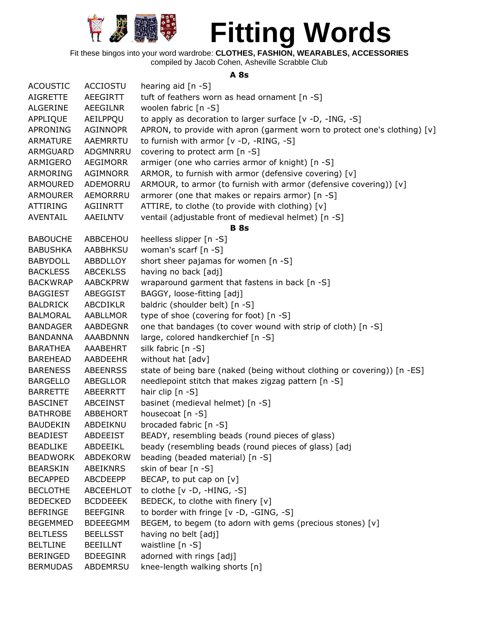

Fit these bingos into your word wardrobe: **CLOTHES, FASHION, WEARABLES, ACCESSORIES** compiled by Jacob Cohen, Asheville Scrabble Club

#### **A 8s**

| <b>ACOUSTIC</b> | <b>ACCIOSTU</b> | hearing aid $[n - S]$                                                     |
|-----------------|-----------------|---------------------------------------------------------------------------|
| <b>AIGRETTE</b> | AEEGIRTT        | tuft of feathers worn as head ornament [n -S]                             |
| ALGERINE        | AEEGILNR        | woolen fabric [n -S]                                                      |
| APPLIQUE        | AEILPPQU        | to apply as decoration to larger surface [v -D, -ING, -S]                 |
| APRONING        | <b>AGINNOPR</b> | APRON, to provide with apron (garment worn to protect one's clothing) [v] |
| <b>ARMATURE</b> | AAEMRRTU        | to furnish with armor [v -D, -RING, -S]                                   |
| ARMGUARD        | ADGMNRRU        | covering to protect arm [n -S]                                            |
| ARMIGERO        | AEGIMORR        | armiger (one who carries armor of knight) [n -S]                          |
| ARMORING        | AGIMNORR        | ARMOR, to furnish with armor (defensive covering) [v]                     |
| ARMOURED        | ADEMORRU        | ARMOUR, to armor (to furnish with armor (defensive covering)) [v]         |
| <b>ARMOURER</b> | AEMORRRU        | armorer (one that makes or repairs armor) [n -S]                          |
| <b>ATTIRING</b> | AGIINRTT        | ATTIRE, to clothe (to provide with clothing) [v]                          |
| <b>AVENTAIL</b> | AAEILNTV        | ventail (adjustable front of medieval helmet) [n -S]                      |
|                 |                 | <b>B</b> 8s                                                               |
| <b>BABOUCHE</b> | ABBCEHOU        | heelless slipper [n -S]                                                   |
| <b>BABUSHKA</b> | AABBHKSU        | woman's scarf [n -S]                                                      |
| <b>BABYDOLL</b> | ABBDLLOY        | short sheer pajamas for women [n -S]                                      |
| <b>BACKLESS</b> | <b>ABCEKLSS</b> | having no back [adj]                                                      |
| <b>BACKWRAP</b> | <b>AABCKPRW</b> | wraparound garment that fastens in back [n -S]                            |
| <b>BAGGIEST</b> | ABEGGIST        | BAGGY, loose-fitting [adj]                                                |
| BALDRICK        | ABCDIKLR        | baldric (shoulder belt) [n -S]                                            |
| <b>BALMORAL</b> | AABLLMOR        | type of shoe (covering for foot) [n -S]                                   |
| <b>BANDAGER</b> | <b>AABDEGNR</b> | one that bandages (to cover wound with strip of cloth) [n -S]             |
| <b>BANDANNA</b> | <b>AAABDNNN</b> | large, colored handkerchief [n -S]                                        |
| BARATHEA        | AAABEHRT        | silk fabric [n -S]                                                        |
| <b>BAREHEAD</b> | AABDEEHR        | without hat [adv]                                                         |
| <b>BARENESS</b> | <b>ABEENRSS</b> | state of being bare (naked (being without clothing or covering)) [n -ES]  |
| <b>BARGELLO</b> | ABEGLLOR        | needlepoint stitch that makes zigzag pattern [n -S]                       |
| <b>BARRETTE</b> | ABEERRTT        | hair clip [n -S]                                                          |
| <b>BASCINET</b> | ABCEINST        | basinet (medieval helmet) [n -S]                                          |
| <b>BATHROBE</b> | ABBEHORT        | housecoat [n -S]                                                          |
| <b>BAUDEKIN</b> | ABDEIKNU        | brocaded fabric [n -S]                                                    |
| <b>BEADIEST</b> | <b>ABDEEIST</b> | BEADY, resembling beads (round pieces of glass)                           |
| <b>BEADLIKE</b> | ABDEEIKL        | beady (resembling beads (round pieces of glass) [adj                      |
| <b>BEADWORK</b> | ABDEKORW        | beading (beaded material) [n -S]                                          |
| <b>BEARSKIN</b> | ABEIKNRS        | skin of bear $[n - S]$                                                    |
| <b>BECAPPED</b> | ABCDEEPP        | BECAP, to put cap on [v]                                                  |
| <b>BECLOTHE</b> | ABCEEHLOT       | to clothe $[v -D, -HING, -S]$                                             |
| <b>BEDECKED</b> | <b>BCDDEEEK</b> | BEDECK, to clothe with finery [v]                                         |
| <b>BEFRINGE</b> | <b>BEEFGINR</b> | to border with fringe [v -D, -GING, -S]                                   |
| <b>BEGEMMED</b> | <b>BDEEEGMM</b> | BEGEM, to begem (to adorn with gems (precious stones) [v]                 |
| <b>BELTLESS</b> | <b>BEELLSST</b> | having no belt [adj]                                                      |
| <b>BELTLINE</b> | <b>BEEILLNT</b> | waistline [n -S]                                                          |
| <b>BERINGED</b> | <b>BDEEGINR</b> | adorned with rings [adj]                                                  |
| <b>BERMUDAS</b> | ABDEMRSU        | knee-length walking shorts [n]                                            |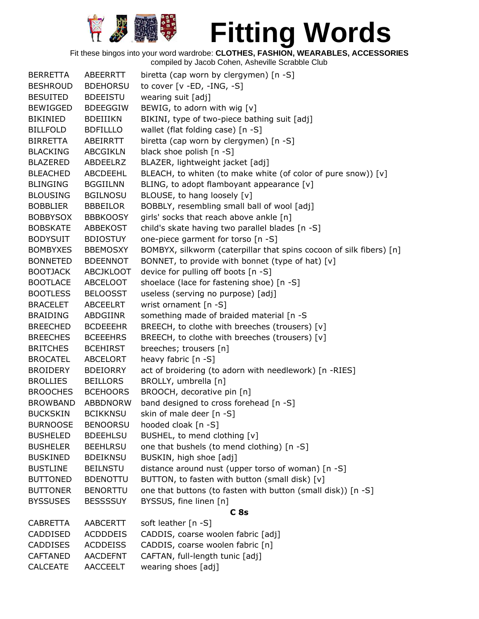

| <b>BERRETTA</b> | ABEERRTT         | biretta (cap worn by clergymen) [n -S]                              |
|-----------------|------------------|---------------------------------------------------------------------|
| <b>BESHROUD</b> | <b>BDEHORSU</b>  | to cover $[v - ED, -ING, -S]$                                       |
| <b>BESUITED</b> | <b>BDEEISTU</b>  | wearing suit [adj]                                                  |
| <b>BEWIGGED</b> | <b>BDEEGGIW</b>  | BEWIG, to adorn with wig [v]                                        |
| <b>BIKINIED</b> | <b>BDEIIIKN</b>  | BIKINI, type of two-piece bathing suit [adj]                        |
| <b>BILLFOLD</b> | <b>BDFILLLO</b>  | wallet (flat folding case) [n -S]                                   |
| BIRRETTA        | ABEIRRTT         | biretta (cap worn by clergymen) [n -S]                              |
| <b>BLACKING</b> | <b>ABCGIKLN</b>  | black shoe polish [n -S]                                            |
| <b>BLAZERED</b> | ABDEELRZ         | BLAZER, lightweight jacket [adj]                                    |
| <b>BLEACHED</b> | ABCDEEHL         | BLEACH, to whiten (to make white (of color of pure snow)) [v]       |
| <b>BLINGING</b> | <b>BGGIILNN</b>  | BLING, to adopt flamboyant appearance [v]                           |
| <b>BLOUSING</b> | <b>BGILNOSU</b>  | BLOUSE, to hang loosely [v]                                         |
| <b>BOBBLIER</b> | <b>BBBEILOR</b>  | BOBBLY, resembling small ball of wool [adj]                         |
| <b>BOBBYSOX</b> | <b>BBBKOOSY</b>  | girls' socks that reach above ankle [n]                             |
| <b>BOBSKATE</b> | ABBEKOST         | child's skate having two parallel blades [n -S]                     |
| <b>BODYSUIT</b> | <b>BDIOSTUY</b>  | one-piece garment for torso [n -S]                                  |
| <b>BOMBYXES</b> | <b>BBEMOSXY</b>  | BOMBYX, silkworm (caterpillar that spins cocoon of silk fibers) [n] |
| <b>BONNETED</b> | <b>BDEENNOT</b>  | BONNET, to provide with bonnet (type of hat) [v]                    |
| <b>BOOTJACK</b> | <b>ABCJKLOOT</b> | device for pulling off boots [n -S]                                 |
| <b>BOOTLACE</b> | ABCELOOT         | shoelace (lace for fastening shoe) [n -S]                           |
| <b>BOOTLESS</b> | <b>BELOOSST</b>  | useless (serving no purpose) [adj]                                  |
| <b>BRACELET</b> | <b>ABCEELRT</b>  | wrist ornament [n -S]                                               |
| <b>BRAIDING</b> | ABDGIINR         | something made of braided material [n -S                            |
| <b>BREECHED</b> | <b>BCDEEEHR</b>  | BREECH, to clothe with breeches (trousers) [v]                      |
| <b>BREECHES</b> | <b>BCEEEHRS</b>  | BREECH, to clothe with breeches (trousers) [v]                      |
| <b>BRITCHES</b> | <b>BCEHIRST</b>  | breeches; trousers [n]                                              |
| <b>BROCATEL</b> | <b>ABCELORT</b>  | heavy fabric [n -S]                                                 |
| <b>BROIDERY</b> | <b>BDEIORRY</b>  | act of broidering (to adorn with needlework) [n -RIES]              |
| <b>BROLLIES</b> | <b>BEILLORS</b>  | BROLLY, umbrella [n]                                                |
| <b>BROOCHES</b> | <b>BCEHOORS</b>  | BROOCH, decorative pin [n]                                          |
| <b>BROWBAND</b> | <b>ABBDNORW</b>  | band designed to cross forehead [n -S]                              |
| <b>BUCKSKIN</b> | <b>BCIKKNSU</b>  | skin of male deer [n -S]                                            |
| <b>BURNOOSE</b> | <b>BENOORSU</b>  | hooded cloak [n -S]                                                 |
| <b>BUSHELED</b> | <b>BDEEHLSU</b>  | BUSHEL, to mend clothing [v]                                        |
| <b>BUSHELER</b> | <b>BEEHLRSU</b>  | one that bushels (to mend clothing) [n -S]                          |
| <b>BUSKINED</b> | <b>BDEIKNSU</b>  | BUSKIN, high shoe [adj]                                             |
| <b>BUSTLINE</b> | <b>BEILNSTU</b>  | distance around nust (upper torso of woman) [n -S]                  |
| <b>BUTTONED</b> | <b>BDENOTTU</b>  | BUTTON, to fasten with button (small disk) [v]                      |
| <b>BUTTONER</b> | <b>BENORTTU</b>  | one that buttons (to fasten with button (small disk)) [n -S]        |
| <b>BYSSUSES</b> | <b>BESSSSUY</b>  | BYSSUS, fine linen [n]                                              |
|                 |                  | C <sub>8s</sub>                                                     |
| <b>CABRETTA</b> | <b>AABCERTT</b>  | soft leather [n -S]                                                 |
| CADDISED        | <b>ACDDDEIS</b>  | CADDIS, coarse woolen fabric [adj]                                  |
| <b>CADDISES</b> | <b>ACDDEISS</b>  | CADDIS, coarse woolen fabric [n]                                    |
| <b>CAFTANED</b> | <b>AACDEFNT</b>  | CAFTAN, full-length tunic [adj]                                     |
| <b>CALCEATE</b> | <b>AACCEELT</b>  | wearing shoes [adj]                                                 |
|                 |                  |                                                                     |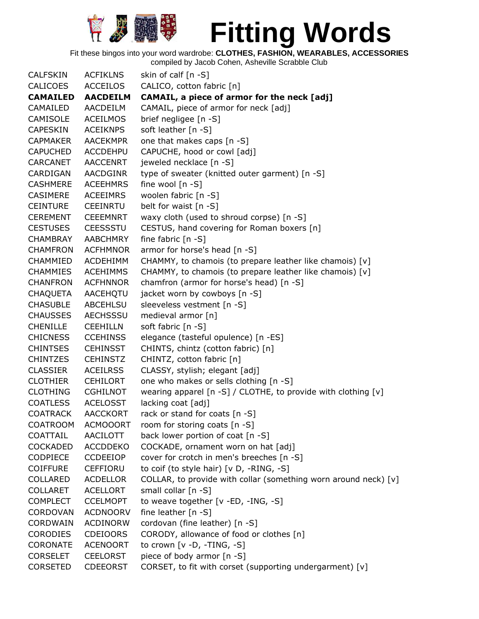

Fit these bingos into your word wardrobe: **CLOTHES, FASHION, WEARABLES, ACCESSORIES**

| <b>CALFSKIN</b> | <b>ACFIKLNS</b> | skin of calf [n -S]                                               |
|-----------------|-----------------|-------------------------------------------------------------------|
| <b>CALICOES</b> | <b>ACCEILOS</b> | CALICO, cotton fabric [n]                                         |
| <b>CAMAILED</b> | <b>AACDEILM</b> | CAMAIL, a piece of armor for the neck [adj]                       |
| CAMAILED        | AACDEILM        | CAMAIL, piece of armor for neck [adj]                             |
| <b>CAMISOLE</b> | <b>ACEILMOS</b> | brief negligee [n -S]                                             |
| <b>CAPESKIN</b> | <b>ACEIKNPS</b> | soft leather [n -S]                                               |
| <b>CAPMAKER</b> | <b>AACEKMPR</b> | one that makes caps [n -S]                                        |
| <b>CAPUCHED</b> | <b>ACCDEHPU</b> | CAPUCHE, hood or cowl [adj]                                       |
| <b>CARCANET</b> | <b>AACCENRT</b> | jeweled necklace [n -S]                                           |
| CARDIGAN        | <b>AACDGINR</b> | type of sweater (knitted outer garment) [n -S]                    |
| <b>CASHMERE</b> | <b>ACEEHMRS</b> | fine wool [n -S]                                                  |
| <b>CASIMERE</b> | ACEEIMRS        | woolen fabric [n -S]                                              |
| <b>CEINTURE</b> | CEEINRTU        | belt for waist [n -S]                                             |
| <b>CEREMENT</b> | <b>CEEEMNRT</b> | waxy cloth (used to shroud corpse) [n -S]                         |
| <b>CESTUSES</b> | <b>CEESSSTU</b> | CESTUS, hand covering for Roman boxers [n]                        |
| <b>CHAMBRAY</b> | <b>AABCHMRY</b> | fine fabric $[n -S]$                                              |
| <b>CHAMFRON</b> | <b>ACFHMNOR</b> | armor for horse's head [n -S]                                     |
| CHAMMIED        | ACDEHIMM        | CHAMMY, to chamois (to prepare leather like chamois) [v]          |
| <b>CHAMMIES</b> | <b>ACEHIMMS</b> | CHAMMY, to chamois (to prepare leather like chamois) [v]          |
| <b>CHANFRON</b> | <b>ACFHNNOR</b> | chamfron (armor for horse's head) [n -S]                          |
| <b>CHAQUETA</b> | AACEHOTU        | jacket worn by cowboys [n -S]                                     |
| <b>CHASUBLE</b> | ABCEHLSU        | sleeveless vestment [n -S]                                        |
| <b>CHAUSSES</b> | <b>AECHSSSU</b> | medieval armor [n]                                                |
| <b>CHENILLE</b> | <b>CEEHILLN</b> | soft fabric [n -S]                                                |
| <b>CHICNESS</b> | <b>CCEHINSS</b> | elegance (tasteful opulence) [n -ES]                              |
| <b>CHINTSES</b> | <b>CEHINSST</b> | CHINTS, chintz (cotton fabric) [n]                                |
| <b>CHINTZES</b> | <b>CEHINSTZ</b> | CHINTZ, cotton fabric [n]                                         |
| <b>CLASSIER</b> | <b>ACEILRSS</b> | CLASSY, stylish; elegant [adj]                                    |
| <b>CLOTHIER</b> | <b>CEHILORT</b> | one who makes or sells clothing [n -S]                            |
| <b>CLOTHING</b> | <b>CGHILNOT</b> | wearing apparel $[n -S]$ / CLOTHE, to provide with clothing $[v]$ |
| <b>COATLESS</b> | <b>ACELOSST</b> | lacking coat [adj]                                                |
| <b>COATRACK</b> | <b>AACCKORT</b> | rack or stand for coats [n -S]                                    |
| <b>COATROOM</b> | <b>ACMOOORT</b> | room for storing coats [n -S]                                     |
| COATTAIL        | AACILOTT        | back lower portion of coat [n -S]                                 |
| <b>COCKADED</b> | <b>ACCDDEKO</b> | COCKADE, ornament worn on hat [adj]                               |
| <b>CODPIECE</b> | <b>CCDEEIOP</b> | cover for crotch in men's breeches [n -S]                         |
| <b>COIFFURE</b> | CEFFIORU        | to coif (to style hair) [v D, -RING, -S]                          |
| COLLARED        | <b>ACDELLOR</b> | COLLAR, to provide with collar (something worn around neck) [v]   |
| <b>COLLARET</b> | <b>ACELLORT</b> | small collar [n -S]                                               |
| <b>COMPLECT</b> | <b>CCELMOPT</b> | to weave together [v -ED, -ING, -S]                               |
| <b>CORDOVAN</b> | <b>ACDNOORV</b> | fine leather [n -S]                                               |
| CORDWAIN        | <b>ACDINORW</b> | cordovan (fine leather) [n -S]                                    |
| <b>CORODIES</b> | <b>CDEIOORS</b> | CORODY, allowance of food or clothes [n]                          |
| <b>CORONATE</b> | <b>ACENOORT</b> | to crown [v -D, -TING, -S]                                        |
| <b>CORSELET</b> | <b>CEELORST</b> | piece of body armor [n -S]                                        |
| <b>CORSETED</b> | <b>CDEEORST</b> | CORSET, to fit with corset (supporting undergarment) [v]          |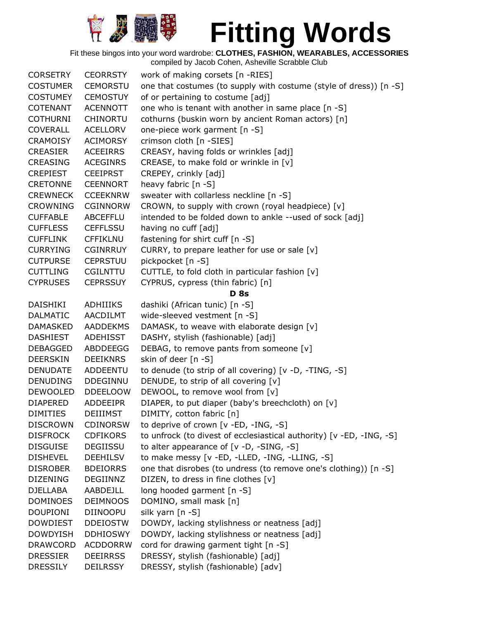

Fit these bingos into your word wardrobe: **CLOTHES, FASHION, WEARABLES, ACCESSORIES**

| <b>CORSETRY</b> | <b>CEORRSTY</b> | work of making corsets [n -RIES]                                     |
|-----------------|-----------------|----------------------------------------------------------------------|
| <b>COSTUMER</b> | <b>CEMORSTU</b> | one that costumes (to supply with costume (style of dress)) [n -S]   |
| <b>COSTUMEY</b> | <b>CEMOSTUY</b> | of or pertaining to costume [adj]                                    |
| <b>COTENANT</b> | <b>ACENNOTT</b> | one who is tenant with another in same place [n -S]                  |
| <b>COTHURNI</b> | <b>CHINORTU</b> | cothurns (buskin worn by ancient Roman actors) [n]                   |
| <b>COVERALL</b> | <b>ACELLORV</b> | one-piece work garment [n -S]                                        |
| <b>CRAMOISY</b> | <b>ACIMORSY</b> | crimson cloth [n -SIES]                                              |
| <b>CREASIER</b> | <b>ACEEIRRS</b> | CREASY, having folds or wrinkles [adj]                               |
| CREASING        | ACEGINRS        | CREASE, to make fold or wrinkle in [v]                               |
| <b>CREPIEST</b> | <b>CEEIPRST</b> | CREPEY, crinkly [adj]                                                |
| <b>CRETONNE</b> | <b>CEENNORT</b> | heavy fabric [n -S]                                                  |
| <b>CREWNECK</b> | <b>CCEEKNRW</b> | sweater with collarless neckline [n -S]                              |
| <b>CROWNING</b> | <b>CGINNORW</b> | CROWN, to supply with crown (royal headpiece) [v]                    |
| <b>CUFFABLE</b> | <b>ABCEFFLU</b> | intended to be folded down to ankle --used of sock [adj]             |
| <b>CUFFLESS</b> | <b>CEFFLSSU</b> | having no cuff [adj]                                                 |
| <b>CUFFLINK</b> | <b>CFFIKLNU</b> | fastening for shirt cuff [n -S]                                      |
| <b>CURRYING</b> | <b>CGINRRUY</b> | CURRY, to prepare leather for use or sale [v]                        |
| <b>CUTPURSE</b> | <b>CEPRSTUU</b> | pickpocket [n -S]                                                    |
| <b>CUTTLING</b> | <b>CGILNTTU</b> | CUTTLE, to fold cloth in particular fashion [v]                      |
| <b>CYPRUSES</b> | <b>CEPRSSUY</b> | CYPRUS, cypress (thin fabric) [n]                                    |
|                 |                 | <b>D</b> 8s                                                          |
| DAISHIKI        | <b>ADHIIIKS</b> | dashiki (African tunic) [n -S]                                       |
| <b>DALMATIC</b> | AACDILMT        | wide-sleeved vestment [n -S]                                         |
| <b>DAMASKED</b> | <b>AADDEKMS</b> | DAMASK, to weave with elaborate design [v]                           |
| <b>DASHIEST</b> | ADEHISST        | DASHY, stylish (fashionable) [adj]                                   |
| <b>DEBAGGED</b> | ABDDEEGG        | DEBAG, to remove pants from someone [v]                              |
| <b>DEERSKIN</b> | <b>DEEIKNRS</b> | skin of deer [n -S]                                                  |
| <b>DENUDATE</b> | ADDEENTU        | to denude (to strip of all covering) [v -D, -TING, -S]               |
| <b>DENUDING</b> | <b>DDEGINNU</b> | DENUDE, to strip of all covering [v]                                 |
| <b>DEWOOLED</b> | <b>DDEELOOW</b> | DEWOOL, to remove wool from [v]                                      |
| <b>DIAPERED</b> | <b>ADDEEIPR</b> | DIAPER, to put diaper (baby's breechcloth) on [v]                    |
| <b>DIMITIES</b> | <b>DEIIIMST</b> | DIMITY, cotton fabric [n]                                            |
| <b>DISCROWN</b> | <b>CDINORSW</b> | to deprive of crown [v -ED, -ING, -S]                                |
| <b>DISFROCK</b> | <b>CDFIKORS</b> | to unfrock (to divest of ecclesiastical authority) [v -ED, -ING, -S] |
| <b>DISGUISE</b> | DEGIISSU        | to alter appearance of $[v -D, -SING, -S]$                           |
| <b>DISHEVEL</b> | <b>DEEHILSV</b> | to make messy [v -ED, -LLED, -ING, -LLING, -S]                       |
| <b>DISROBER</b> | <b>BDEIORRS</b> | one that disrobes (to undress (to remove one's clothing)) [n -S]     |
| <b>DIZENING</b> | DEGIINNZ        | DIZEN, to dress in fine clothes [v]                                  |
| <b>DJELLABA</b> | AABDEJLL        | long hooded garment [n -S]                                           |
| <b>DOMINOES</b> | <b>DEIMNOOS</b> | DOMINO, small mask [n]                                               |
| <b>DOUPIONI</b> | <b>DIINOOPU</b> | silk yarn [n -S]                                                     |
| <b>DOWDIEST</b> | <b>DDEIOSTW</b> | DOWDY, lacking stylishness or neatness [adj]                         |
| <b>DOWDYISH</b> | <b>DDHIOSWY</b> | DOWDY, lacking stylishness or neatness [adj]                         |
| <b>DRAWCORD</b> | <b>ACDDORRW</b> | cord for drawing garment tight [n -S]                                |
| <b>DRESSIER</b> | <b>DEEIRRSS</b> | DRESSY, stylish (fashionable) [adj]                                  |
| <b>DRESSILY</b> | <b>DEILRSSY</b> | DRESSY, stylish (fashionable) [adv]                                  |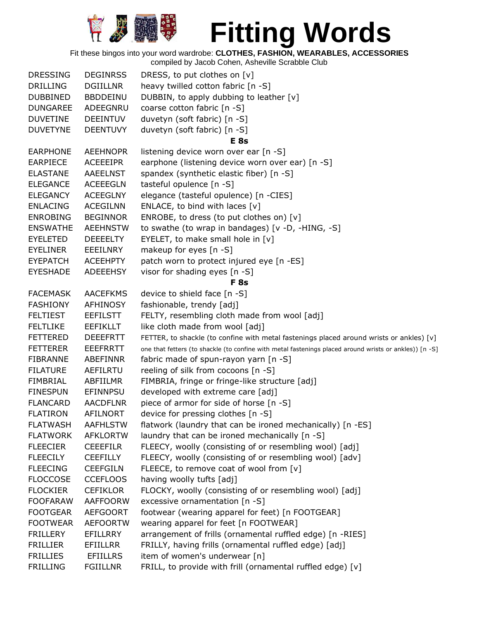

Fit these bingos into your word wardrobe: **CLOTHES, FASHION, WEARABLES, ACCESSORIES**

| <b>DRESSING</b> | <b>DEGINRSS</b> | DRESS, to put clothes on [v]                                                                           |
|-----------------|-----------------|--------------------------------------------------------------------------------------------------------|
| <b>DRILLING</b> | <b>DGIILLNR</b> | heavy twilled cotton fabric [n -S]                                                                     |
| <b>DUBBINED</b> | <b>BBDDEINU</b> | DUBBIN, to apply dubbing to leather [v]                                                                |
| <b>DUNGAREE</b> | ADEEGNRU        | coarse cotton fabric [n -S]                                                                            |
| <b>DUVETINE</b> | <b>DEEINTUV</b> | duvetyn (soft fabric) [n -S]                                                                           |
| <b>DUVETYNE</b> | <b>DEENTUVY</b> | duvetyn (soft fabric) [n -S]                                                                           |
|                 |                 | <b>E</b> 8s                                                                                            |
| <b>EARPHONE</b> | <b>AEEHNOPR</b> | listening device worn over ear [n -S]                                                                  |
| <b>EARPIECE</b> | <b>ACEEEIPR</b> | earphone (listening device worn over ear) [n -S]                                                       |
| <b>ELASTANE</b> | <b>AAEELNST</b> | spandex (synthetic elastic fiber) [n -S]                                                               |
| <b>ELEGANCE</b> | <b>ACEEEGLN</b> | tasteful opulence [n -S]                                                                               |
| <b>ELEGANCY</b> | <b>ACEEGLNY</b> | elegance (tasteful opulence) [n -CIES]                                                                 |
| <b>ENLACING</b> | <b>ACEGILNN</b> | ENLACE, to bind with laces $[v]$                                                                       |
| <b>ENROBING</b> | <b>BEGINNOR</b> | ENROBE, to dress (to put clothes on) [v]                                                               |
| <b>ENSWATHE</b> | <b>AEEHNSTW</b> | to swathe (to wrap in bandages) [v -D, -HING, -S]                                                      |
| <b>EYELETED</b> | <b>DEEEELTY</b> | EYELET, to make small hole in $[v]$                                                                    |
| <b>EYELINER</b> | EEEILNRY        | makeup for eyes [n -S]                                                                                 |
| <b>EYEPATCH</b> | <b>ACEEHPTY</b> | patch worn to protect injured eye [n -ES]                                                              |
| <b>EYESHADE</b> | ADEEEHSY        | visor for shading eyes [n -S]                                                                          |
|                 |                 | <b>F</b> 8s                                                                                            |
| <b>FACEMASK</b> | <b>AACEFKMS</b> | device to shield face [n -S]                                                                           |
| <b>FASHIONY</b> | AFHINOSY        | fashionable, trendy [adj]                                                                              |
| <b>FELTIEST</b> | <b>EEFILSTT</b> | FELTY, resembling cloth made from wool [adj]                                                           |
| <b>FELTLIKE</b> | <b>EEFIKLLT</b> | like cloth made from wool [adj]                                                                        |
| <b>FETTERED</b> | <b>DEEEFRTT</b> | FETTER, to shackle (to confine with metal fastenings placed around wrists or ankles) [v]               |
| <b>FETTERER</b> | <b>EEEFRRTT</b> | one that fetters (to shackle (to confine with metal fastenings placed around wrists or ankles)) [n -S] |
| <b>FIBRANNE</b> | ABEFINNR        | fabric made of spun-rayon yarn [n -S]                                                                  |
| <b>FILATURE</b> | AEFILRTU        | reeling of silk from cocoons [n -S]                                                                    |
| <b>FIMBRIAL</b> | ABFIILMR        | FIMBRIA, fringe or fringe-like structure [adj]                                                         |
| <b>FINESPUN</b> | <b>EFINNPSU</b> | developed with extreme care [adj]                                                                      |
| <b>FLANCARD</b> | <b>AACDFLNR</b> | piece of armor for side of horse [n -S]                                                                |
| <b>FLATIRON</b> | <b>AFILNORT</b> | device for pressing clothes [n -S]                                                                     |
| <b>FLATWASH</b> | <b>AAFHLSTW</b> | flatwork (laundry that can be ironed mechanically) [n -ES]                                             |
| <b>FLATWORK</b> | <b>AFKLORTW</b> | laundry that can be ironed mechanically [n -S]                                                         |
| <b>FLEECIER</b> | <b>CEEEFILR</b> | FLEECY, woolly (consisting of or resembling wool) [adj]                                                |
| <b>FLEECILY</b> | <b>CEEFILLY</b> | FLEECY, woolly (consisting of or resembling wool) [adv]                                                |
| <b>FLEECING</b> | <b>CEEFGILN</b> | FLEECE, to remove coat of wool from [v]                                                                |
| <b>FLOCCOSE</b> | <b>CCEFLOOS</b> | having woolly tufts [adj]                                                                              |
| <b>FLOCKIER</b> | <b>CEFIKLOR</b> | FLOCKY, woolly (consisting of or resembling wool) [adj]                                                |
| <b>FOOFARAW</b> | <b>AAFFOORW</b> | excessive ornamentation [n -S]                                                                         |
| <b>FOOTGEAR</b> | <b>AEFGOORT</b> | footwear (wearing apparel for feet) [n FOOTGEAR]                                                       |
| <b>FOOTWEAR</b> | <b>AEFOORTW</b> | wearing apparel for feet [n FOOTWEAR]                                                                  |
| <b>FRILLERY</b> | EFILLRRY        | arrangement of frills (ornamental ruffled edge) [n -RIES]                                              |
| <b>FRILLIER</b> | <b>EFIILLRR</b> | FRILLY, having frills (ornamental ruffled edge) [adj]                                                  |
| <b>FRILLIES</b> | <b>EFIILLRS</b> | item of women's underwear [n]                                                                          |
| <b>FRILLING</b> | <b>FGIILLNR</b> | FRILL, to provide with frill (ornamental ruffled edge) [v]                                             |
|                 |                 |                                                                                                        |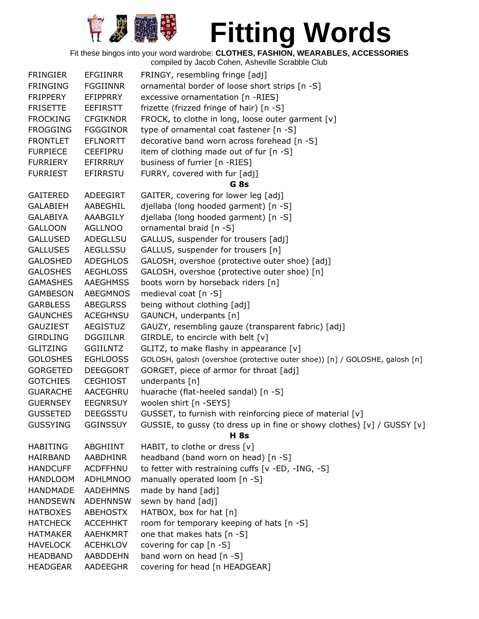

Fit these bingos into your word wardrobe: **CLOTHES, FASHION, WEARABLES, ACCESSORIES**

| <b>FRINGIER</b><br><b>EFGIINRR</b><br>FRINGY, resembling fringe [adj]<br>ornamental border of loose short strips [n -S]<br><b>FRINGING</b><br><b>FGGIINNR</b><br><b>FRIPPERY</b><br>excessive ornamentation [n -RIES]<br>EFIPPRRY<br>frizette (frizzed fringe of hair) [n -S]<br><b>FRISETTE</b><br><b>EEFIRSTT</b><br>FROCK, to clothe in long, loose outer garment [v]<br><b>FROCKING</b><br><b>CFGIKNOR</b><br><b>FROGGING</b><br><b>FGGGINOR</b><br>type of ornamental coat fastener [n -S]<br>decorative band worn across forehead [n -S]<br><b>EFLNORTT</b><br><b>FRONTLET</b><br><b>CEEFIPRU</b><br>item of clothing made out of fur $[n - S]$<br><b>FURPIECE</b><br>business of furrier [n -RIES]<br><b>FURRIERY</b><br>EFIRRRUY<br><b>FURRIEST</b><br><b>EFIRRSTU</b><br>FURRY, covered with fur [adj]<br>G <sub>8s</sub><br>GAITER, covering for lower leg [adj]<br><b>GAITERED</b><br>ADEEGIRT<br>djellaba (long hooded garment) [n -S]<br><b>GALABIEH</b><br>AABEGHIL<br>djellaba (long hooded garment) [n -S]<br><b>GALABIYA</b><br>AAABGILY<br>ornamental braid [n -S]<br><b>GALLOON</b><br>AGLLNOO<br>GALLUS, suspender for trousers [adj]<br><b>GALLUSED</b><br>ADEGLLSU<br><b>GALLUSES</b><br>AEGLLSSU<br>GALLUS, suspender for trousers [n]<br>GALOSH, overshoe (protective outer shoe) [adj]<br><b>GALOSHED</b><br><b>ADEGHLOS</b><br><b>GALOSHES</b><br>GALOSH, overshoe (protective outer shoe) [n]<br><b>AEGHLOSS</b><br>boots worn by horseback riders [n]<br><b>GAMASHES</b><br><b>AAEGHMSS</b><br><b>ABEGMNOS</b><br>medieval coat [n -S]<br><b>GAMBESON</b><br><b>GARBLESS</b><br><b>ABEGLRSS</b><br>being without clothing [adj]<br>GAUNCH, underpants [n]<br><b>GAUNCHES</b><br><b>ACEGHNSU</b><br><b>AEGISTUZ</b><br>GAUZY, resembling gauze (transparent fabric) [adj]<br><b>GAUZIEST</b><br>GIRDLE, to encircle with belt [v]<br><b>GIRDLING</b><br><b>DGGIILNR</b><br><b>GLITZING</b><br>GLITZ, to make flashy in appearance [v]<br><b>GGIILNTZ</b><br><b>GOLOSHES</b><br><b>EGHLOOSS</b><br>GOLOSH, galosh (overshoe (protective outer shoe)) [n] / GOLOSHE, galosh [n]<br><b>GORGETED</b><br><b>DEEGGORT</b><br>GORGET, piece of armor for throat [adj] |
|-------------------------------------------------------------------------------------------------------------------------------------------------------------------------------------------------------------------------------------------------------------------------------------------------------------------------------------------------------------------------------------------------------------------------------------------------------------------------------------------------------------------------------------------------------------------------------------------------------------------------------------------------------------------------------------------------------------------------------------------------------------------------------------------------------------------------------------------------------------------------------------------------------------------------------------------------------------------------------------------------------------------------------------------------------------------------------------------------------------------------------------------------------------------------------------------------------------------------------------------------------------------------------------------------------------------------------------------------------------------------------------------------------------------------------------------------------------------------------------------------------------------------------------------------------------------------------------------------------------------------------------------------------------------------------------------------------------------------------------------------------------------------------------------------------------------------------------------------------------------------------------------------------------------------------------------------------------------------------------------------------------------------------------------------------------------------------------------------------------------------------------------------------------------------------------------|
|                                                                                                                                                                                                                                                                                                                                                                                                                                                                                                                                                                                                                                                                                                                                                                                                                                                                                                                                                                                                                                                                                                                                                                                                                                                                                                                                                                                                                                                                                                                                                                                                                                                                                                                                                                                                                                                                                                                                                                                                                                                                                                                                                                                           |
|                                                                                                                                                                                                                                                                                                                                                                                                                                                                                                                                                                                                                                                                                                                                                                                                                                                                                                                                                                                                                                                                                                                                                                                                                                                                                                                                                                                                                                                                                                                                                                                                                                                                                                                                                                                                                                                                                                                                                                                                                                                                                                                                                                                           |
|                                                                                                                                                                                                                                                                                                                                                                                                                                                                                                                                                                                                                                                                                                                                                                                                                                                                                                                                                                                                                                                                                                                                                                                                                                                                                                                                                                                                                                                                                                                                                                                                                                                                                                                                                                                                                                                                                                                                                                                                                                                                                                                                                                                           |
|                                                                                                                                                                                                                                                                                                                                                                                                                                                                                                                                                                                                                                                                                                                                                                                                                                                                                                                                                                                                                                                                                                                                                                                                                                                                                                                                                                                                                                                                                                                                                                                                                                                                                                                                                                                                                                                                                                                                                                                                                                                                                                                                                                                           |
|                                                                                                                                                                                                                                                                                                                                                                                                                                                                                                                                                                                                                                                                                                                                                                                                                                                                                                                                                                                                                                                                                                                                                                                                                                                                                                                                                                                                                                                                                                                                                                                                                                                                                                                                                                                                                                                                                                                                                                                                                                                                                                                                                                                           |
|                                                                                                                                                                                                                                                                                                                                                                                                                                                                                                                                                                                                                                                                                                                                                                                                                                                                                                                                                                                                                                                                                                                                                                                                                                                                                                                                                                                                                                                                                                                                                                                                                                                                                                                                                                                                                                                                                                                                                                                                                                                                                                                                                                                           |
|                                                                                                                                                                                                                                                                                                                                                                                                                                                                                                                                                                                                                                                                                                                                                                                                                                                                                                                                                                                                                                                                                                                                                                                                                                                                                                                                                                                                                                                                                                                                                                                                                                                                                                                                                                                                                                                                                                                                                                                                                                                                                                                                                                                           |
|                                                                                                                                                                                                                                                                                                                                                                                                                                                                                                                                                                                                                                                                                                                                                                                                                                                                                                                                                                                                                                                                                                                                                                                                                                                                                                                                                                                                                                                                                                                                                                                                                                                                                                                                                                                                                                                                                                                                                                                                                                                                                                                                                                                           |
|                                                                                                                                                                                                                                                                                                                                                                                                                                                                                                                                                                                                                                                                                                                                                                                                                                                                                                                                                                                                                                                                                                                                                                                                                                                                                                                                                                                                                                                                                                                                                                                                                                                                                                                                                                                                                                                                                                                                                                                                                                                                                                                                                                                           |
|                                                                                                                                                                                                                                                                                                                                                                                                                                                                                                                                                                                                                                                                                                                                                                                                                                                                                                                                                                                                                                                                                                                                                                                                                                                                                                                                                                                                                                                                                                                                                                                                                                                                                                                                                                                                                                                                                                                                                                                                                                                                                                                                                                                           |
|                                                                                                                                                                                                                                                                                                                                                                                                                                                                                                                                                                                                                                                                                                                                                                                                                                                                                                                                                                                                                                                                                                                                                                                                                                                                                                                                                                                                                                                                                                                                                                                                                                                                                                                                                                                                                                                                                                                                                                                                                                                                                                                                                                                           |
|                                                                                                                                                                                                                                                                                                                                                                                                                                                                                                                                                                                                                                                                                                                                                                                                                                                                                                                                                                                                                                                                                                                                                                                                                                                                                                                                                                                                                                                                                                                                                                                                                                                                                                                                                                                                                                                                                                                                                                                                                                                                                                                                                                                           |
|                                                                                                                                                                                                                                                                                                                                                                                                                                                                                                                                                                                                                                                                                                                                                                                                                                                                                                                                                                                                                                                                                                                                                                                                                                                                                                                                                                                                                                                                                                                                                                                                                                                                                                                                                                                                                                                                                                                                                                                                                                                                                                                                                                                           |
|                                                                                                                                                                                                                                                                                                                                                                                                                                                                                                                                                                                                                                                                                                                                                                                                                                                                                                                                                                                                                                                                                                                                                                                                                                                                                                                                                                                                                                                                                                                                                                                                                                                                                                                                                                                                                                                                                                                                                                                                                                                                                                                                                                                           |
|                                                                                                                                                                                                                                                                                                                                                                                                                                                                                                                                                                                                                                                                                                                                                                                                                                                                                                                                                                                                                                                                                                                                                                                                                                                                                                                                                                                                                                                                                                                                                                                                                                                                                                                                                                                                                                                                                                                                                                                                                                                                                                                                                                                           |
|                                                                                                                                                                                                                                                                                                                                                                                                                                                                                                                                                                                                                                                                                                                                                                                                                                                                                                                                                                                                                                                                                                                                                                                                                                                                                                                                                                                                                                                                                                                                                                                                                                                                                                                                                                                                                                                                                                                                                                                                                                                                                                                                                                                           |
|                                                                                                                                                                                                                                                                                                                                                                                                                                                                                                                                                                                                                                                                                                                                                                                                                                                                                                                                                                                                                                                                                                                                                                                                                                                                                                                                                                                                                                                                                                                                                                                                                                                                                                                                                                                                                                                                                                                                                                                                                                                                                                                                                                                           |
|                                                                                                                                                                                                                                                                                                                                                                                                                                                                                                                                                                                                                                                                                                                                                                                                                                                                                                                                                                                                                                                                                                                                                                                                                                                                                                                                                                                                                                                                                                                                                                                                                                                                                                                                                                                                                                                                                                                                                                                                                                                                                                                                                                                           |
|                                                                                                                                                                                                                                                                                                                                                                                                                                                                                                                                                                                                                                                                                                                                                                                                                                                                                                                                                                                                                                                                                                                                                                                                                                                                                                                                                                                                                                                                                                                                                                                                                                                                                                                                                                                                                                                                                                                                                                                                                                                                                                                                                                                           |
|                                                                                                                                                                                                                                                                                                                                                                                                                                                                                                                                                                                                                                                                                                                                                                                                                                                                                                                                                                                                                                                                                                                                                                                                                                                                                                                                                                                                                                                                                                                                                                                                                                                                                                                                                                                                                                                                                                                                                                                                                                                                                                                                                                                           |
|                                                                                                                                                                                                                                                                                                                                                                                                                                                                                                                                                                                                                                                                                                                                                                                                                                                                                                                                                                                                                                                                                                                                                                                                                                                                                                                                                                                                                                                                                                                                                                                                                                                                                                                                                                                                                                                                                                                                                                                                                                                                                                                                                                                           |
|                                                                                                                                                                                                                                                                                                                                                                                                                                                                                                                                                                                                                                                                                                                                                                                                                                                                                                                                                                                                                                                                                                                                                                                                                                                                                                                                                                                                                                                                                                                                                                                                                                                                                                                                                                                                                                                                                                                                                                                                                                                                                                                                                                                           |
|                                                                                                                                                                                                                                                                                                                                                                                                                                                                                                                                                                                                                                                                                                                                                                                                                                                                                                                                                                                                                                                                                                                                                                                                                                                                                                                                                                                                                                                                                                                                                                                                                                                                                                                                                                                                                                                                                                                                                                                                                                                                                                                                                                                           |
|                                                                                                                                                                                                                                                                                                                                                                                                                                                                                                                                                                                                                                                                                                                                                                                                                                                                                                                                                                                                                                                                                                                                                                                                                                                                                                                                                                                                                                                                                                                                                                                                                                                                                                                                                                                                                                                                                                                                                                                                                                                                                                                                                                                           |
|                                                                                                                                                                                                                                                                                                                                                                                                                                                                                                                                                                                                                                                                                                                                                                                                                                                                                                                                                                                                                                                                                                                                                                                                                                                                                                                                                                                                                                                                                                                                                                                                                                                                                                                                                                                                                                                                                                                                                                                                                                                                                                                                                                                           |
|                                                                                                                                                                                                                                                                                                                                                                                                                                                                                                                                                                                                                                                                                                                                                                                                                                                                                                                                                                                                                                                                                                                                                                                                                                                                                                                                                                                                                                                                                                                                                                                                                                                                                                                                                                                                                                                                                                                                                                                                                                                                                                                                                                                           |
|                                                                                                                                                                                                                                                                                                                                                                                                                                                                                                                                                                                                                                                                                                                                                                                                                                                                                                                                                                                                                                                                                                                                                                                                                                                                                                                                                                                                                                                                                                                                                                                                                                                                                                                                                                                                                                                                                                                                                                                                                                                                                                                                                                                           |
|                                                                                                                                                                                                                                                                                                                                                                                                                                                                                                                                                                                                                                                                                                                                                                                                                                                                                                                                                                                                                                                                                                                                                                                                                                                                                                                                                                                                                                                                                                                                                                                                                                                                                                                                                                                                                                                                                                                                                                                                                                                                                                                                                                                           |
| underpants [n]<br><b>GOTCHIES</b><br><b>CEGHIOST</b>                                                                                                                                                                                                                                                                                                                                                                                                                                                                                                                                                                                                                                                                                                                                                                                                                                                                                                                                                                                                                                                                                                                                                                                                                                                                                                                                                                                                                                                                                                                                                                                                                                                                                                                                                                                                                                                                                                                                                                                                                                                                                                                                      |
| huarache (flat-heeled sandal) [n -S]<br><b>GUARACHE</b><br>AACEGHRU                                                                                                                                                                                                                                                                                                                                                                                                                                                                                                                                                                                                                                                                                                                                                                                                                                                                                                                                                                                                                                                                                                                                                                                                                                                                                                                                                                                                                                                                                                                                                                                                                                                                                                                                                                                                                                                                                                                                                                                                                                                                                                                       |
| woolen shirt [n -SEYS]<br><b>GUERNSEY</b><br><b>EEGNRSUY</b>                                                                                                                                                                                                                                                                                                                                                                                                                                                                                                                                                                                                                                                                                                                                                                                                                                                                                                                                                                                                                                                                                                                                                                                                                                                                                                                                                                                                                                                                                                                                                                                                                                                                                                                                                                                                                                                                                                                                                                                                                                                                                                                              |
| <b>GUSSETED</b><br>GUSSET, to furnish with reinforcing piece of material [v]<br><b>DEEGSSTU</b>                                                                                                                                                                                                                                                                                                                                                                                                                                                                                                                                                                                                                                                                                                                                                                                                                                                                                                                                                                                                                                                                                                                                                                                                                                                                                                                                                                                                                                                                                                                                                                                                                                                                                                                                                                                                                                                                                                                                                                                                                                                                                           |
| <b>GGINSSUY</b><br>GUSSIE, to gussy (to dress up in fine or showy clothes) [v] / GUSSY [v]<br><b>GUSSYING</b>                                                                                                                                                                                                                                                                                                                                                                                                                                                                                                                                                                                                                                                                                                                                                                                                                                                                                                                                                                                                                                                                                                                                                                                                                                                                                                                                                                                                                                                                                                                                                                                                                                                                                                                                                                                                                                                                                                                                                                                                                                                                             |
| <b>H</b> 8s                                                                                                                                                                                                                                                                                                                                                                                                                                                                                                                                                                                                                                                                                                                                                                                                                                                                                                                                                                                                                                                                                                                                                                                                                                                                                                                                                                                                                                                                                                                                                                                                                                                                                                                                                                                                                                                                                                                                                                                                                                                                                                                                                                               |
| <b>HABITING</b><br>ABGHIINT<br>HABIT, to clothe or dress [v]                                                                                                                                                                                                                                                                                                                                                                                                                                                                                                                                                                                                                                                                                                                                                                                                                                                                                                                                                                                                                                                                                                                                                                                                                                                                                                                                                                                                                                                                                                                                                                                                                                                                                                                                                                                                                                                                                                                                                                                                                                                                                                                              |
| headband (band worn on head) [n -S]<br>HAIRBAND<br><b>AABDHINR</b>                                                                                                                                                                                                                                                                                                                                                                                                                                                                                                                                                                                                                                                                                                                                                                                                                                                                                                                                                                                                                                                                                                                                                                                                                                                                                                                                                                                                                                                                                                                                                                                                                                                                                                                                                                                                                                                                                                                                                                                                                                                                                                                        |
| to fetter with restraining cuffs [v -ED, -ING, -S]<br><b>HANDCUFF</b><br><b>ACDFFHNU</b>                                                                                                                                                                                                                                                                                                                                                                                                                                                                                                                                                                                                                                                                                                                                                                                                                                                                                                                                                                                                                                                                                                                                                                                                                                                                                                                                                                                                                                                                                                                                                                                                                                                                                                                                                                                                                                                                                                                                                                                                                                                                                                  |
| manually operated loom [n -S]<br><b>HANDLOOM</b><br><b>ADHLMNOO</b>                                                                                                                                                                                                                                                                                                                                                                                                                                                                                                                                                                                                                                                                                                                                                                                                                                                                                                                                                                                                                                                                                                                                                                                                                                                                                                                                                                                                                                                                                                                                                                                                                                                                                                                                                                                                                                                                                                                                                                                                                                                                                                                       |
| <b>AADEHMNS</b><br>made by hand [adj]<br><b>HANDMADE</b>                                                                                                                                                                                                                                                                                                                                                                                                                                                                                                                                                                                                                                                                                                                                                                                                                                                                                                                                                                                                                                                                                                                                                                                                                                                                                                                                                                                                                                                                                                                                                                                                                                                                                                                                                                                                                                                                                                                                                                                                                                                                                                                                  |
| sewn by hand [adj]<br><b>HANDSEWN</b><br><b>ADEHNNSW</b>                                                                                                                                                                                                                                                                                                                                                                                                                                                                                                                                                                                                                                                                                                                                                                                                                                                                                                                                                                                                                                                                                                                                                                                                                                                                                                                                                                                                                                                                                                                                                                                                                                                                                                                                                                                                                                                                                                                                                                                                                                                                                                                                  |
| HATBOX, box for hat [n]<br><b>HATBOXES</b><br><b>ABEHOSTX</b>                                                                                                                                                                                                                                                                                                                                                                                                                                                                                                                                                                                                                                                                                                                                                                                                                                                                                                                                                                                                                                                                                                                                                                                                                                                                                                                                                                                                                                                                                                                                                                                                                                                                                                                                                                                                                                                                                                                                                                                                                                                                                                                             |
| <b>HATCHECK</b><br><b>ACCEHHKT</b><br>room for temporary keeping of hats [n -S]                                                                                                                                                                                                                                                                                                                                                                                                                                                                                                                                                                                                                                                                                                                                                                                                                                                                                                                                                                                                                                                                                                                                                                                                                                                                                                                                                                                                                                                                                                                                                                                                                                                                                                                                                                                                                                                                                                                                                                                                                                                                                                           |
| <b>HATMAKER</b><br><b>AAEHKMRT</b><br>one that makes hats [n -S]                                                                                                                                                                                                                                                                                                                                                                                                                                                                                                                                                                                                                                                                                                                                                                                                                                                                                                                                                                                                                                                                                                                                                                                                                                                                                                                                                                                                                                                                                                                                                                                                                                                                                                                                                                                                                                                                                                                                                                                                                                                                                                                          |
| covering for cap [n -S]<br><b>HAVELOCK</b><br><b>ACEHKLOV</b>                                                                                                                                                                                                                                                                                                                                                                                                                                                                                                                                                                                                                                                                                                                                                                                                                                                                                                                                                                                                                                                                                                                                                                                                                                                                                                                                                                                                                                                                                                                                                                                                                                                                                                                                                                                                                                                                                                                                                                                                                                                                                                                             |
| band worn on head [n -S]<br><b>HEADBAND</b><br><b>AABDDEHN</b>                                                                                                                                                                                                                                                                                                                                                                                                                                                                                                                                                                                                                                                                                                                                                                                                                                                                                                                                                                                                                                                                                                                                                                                                                                                                                                                                                                                                                                                                                                                                                                                                                                                                                                                                                                                                                                                                                                                                                                                                                                                                                                                            |
| covering for head [n HEADGEAR]<br><b>HEADGEAR</b><br>AADEEGHR                                                                                                                                                                                                                                                                                                                                                                                                                                                                                                                                                                                                                                                                                                                                                                                                                                                                                                                                                                                                                                                                                                                                                                                                                                                                                                                                                                                                                                                                                                                                                                                                                                                                                                                                                                                                                                                                                                                                                                                                                                                                                                                             |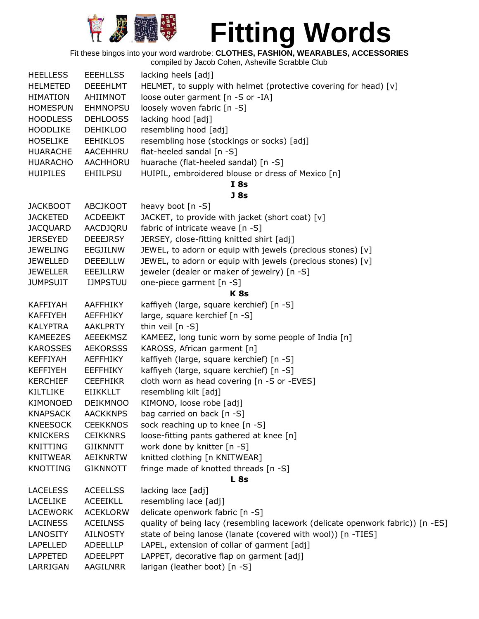

Fit these bingos into your word wardrobe: **CLOTHES, FASHION, WEARABLES, ACCESSORIES**

| <b>HEELLESS</b> | <b>EEEHLLSS</b> | lacking heels [adj]                                                            |
|-----------------|-----------------|--------------------------------------------------------------------------------|
| <b>HELMETED</b> | <b>DEEEHLMT</b> | HELMET, to supply with helmet (protective covering for head) [v]               |
| <b>HIMATION</b> | AHIIMNOT        | loose outer garment [n -S or -IA]                                              |
| <b>HOMESPUN</b> | <b>EHMNOPSU</b> | loosely woven fabric [n -S]                                                    |
| <b>HOODLESS</b> | <b>DEHLOOSS</b> | lacking hood [adj]                                                             |
| <b>HOODLIKE</b> | <b>DEHIKLOO</b> | resembling hood [adj]                                                          |
| <b>HOSELIKE</b> | <b>EEHIKLOS</b> | resembling hose (stockings or socks) [adj]                                     |
| <b>HUARACHE</b> | AACEHHRU        | flat-heeled sandal [n -S]                                                      |
| <b>HUARACHO</b> | AACHHORU        | huarache (flat-heeled sandal) [n -S]                                           |
| <b>HUIPILES</b> | <b>EHIILPSU</b> | HUIPIL, embroidered blouse or dress of Mexico [n]                              |
|                 |                 | I 8s                                                                           |
|                 |                 | <b>J</b> 8s                                                                    |
| <b>JACKBOOT</b> | <b>ABCJKOOT</b> | heavy boot [n -S]                                                              |
| <b>JACKETED</b> | <b>ACDEEJKT</b> | JACKET, to provide with jacket (short coat) [v]                                |
| <b>JACQUARD</b> | AACDJQRU        | fabric of intricate weave [n -S]                                               |
| <b>JERSEYED</b> | <b>DEEEJRSY</b> | JERSEY, close-fitting knitted shirt [adj]                                      |
| <b>JEWELING</b> | EEGJILNW        | JEWEL, to adorn or equip with jewels (precious stones) [v]                     |
| <b>JEWELLED</b> | <b>DEEEJLLW</b> | JEWEL, to adorn or equip with jewels (precious stones) [v]                     |
| <b>JEWELLER</b> | EEEJLLRW        | jeweler (dealer or maker of jewelry) [n -S]                                    |
| <b>JUMPSUIT</b> | <b>IJMPSTUU</b> | one-piece garment [n -S]                                                       |
|                 |                 | K <sub>8s</sub>                                                                |
| <b>KAFFIYAH</b> | AAFFHIKY        | kaffiyeh (large, square kerchief) [n -S]                                       |
| <b>KAFFIYEH</b> | <b>AEFFHIKY</b> | large, square kerchief [n -S]                                                  |
| <b>KALYPTRA</b> | <b>AAKLPRTY</b> | thin veil [n -S]                                                               |
| <b>KAMEEZES</b> | AEEEKMSZ        | KAMEEZ, long tunic worn by some people of India [n]                            |
| <b>KAROSSES</b> | <b>AEKORSSS</b> | KAROSS, African garment [n]                                                    |
| <b>KEFFIYAH</b> | <b>AEFFHIKY</b> | kaffiyeh (large, square kerchief) [n -S]                                       |
| <b>KEFFIYEH</b> | <b>EEFFHIKY</b> | kaffiyeh (large, square kerchief) [n -S]                                       |
| <b>KERCHIEF</b> | <b>CEEFHIKR</b> | cloth worn as head covering [n -S or -EVES]                                    |
| <b>KILTLIKE</b> | <b>EIIKKLLT</b> | resembling kilt [adj]                                                          |
| KIMONOED        | <b>DEIKMNOO</b> | KIMONO, loose robe [adj]                                                       |
| <b>KNAPSACK</b> | <b>AACKKNPS</b> | bag carried on back [n -S]                                                     |
| <b>KNEESOCK</b> | <b>CEEKKNOS</b> | sock reaching up to knee [n -S]                                                |
| <b>KNICKERS</b> | <b>CEIKKNRS</b> | loose-fitting pants gathered at knee [n]                                       |
| KNITTING        | <b>GIIKNNTT</b> | work done by knitter [n -S]                                                    |
| <b>KNITWEAR</b> | <b>AEIKNRTW</b> | knitted clothing [n KNITWEAR]                                                  |
| <b>KNOTTING</b> | <b>GIKNNOTT</b> | fringe made of knotted threads [n -S]                                          |
|                 |                 | <b>L</b> 8s                                                                    |
| <b>LACELESS</b> | <b>ACEELLSS</b> | lacking lace [adj]                                                             |
| <b>LACELIKE</b> | <b>ACEEIKLL</b> | resembling lace [adj]                                                          |
| <b>LACEWORK</b> | <b>ACEKLORW</b> | delicate openwork fabric [n -S]                                                |
| <b>LACINESS</b> | <b>ACEILNSS</b> | quality of being lacy (resembling lacework (delicate openwork fabric)) [n -ES] |
| LANOSITY        | <b>AILNOSTY</b> | state of being lanose (lanate (covered with wool)) [n -TIES]                   |
| LAPELLED        | <b>ADEELLLP</b> | LAPEL, extension of collar of garment [adj]                                    |
| <b>LAPPETED</b> | <b>ADEELPPT</b> | LAPPET, decorative flap on garment [adj]                                       |
| LARRIGAN        | AAGILNRR        | larigan (leather boot) [n -S]                                                  |
|                 |                 |                                                                                |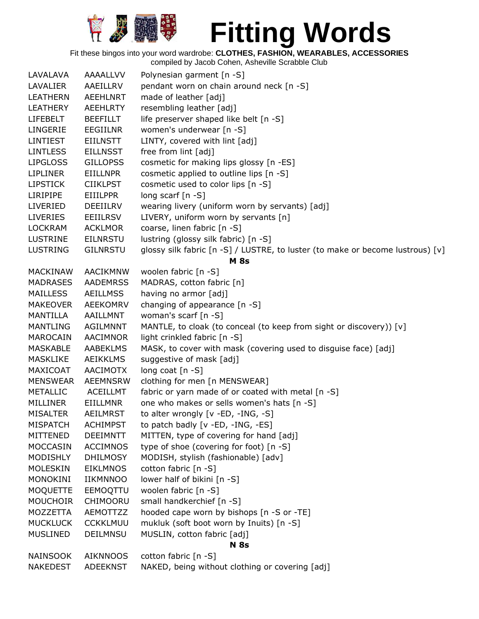

Fit these bingos into your word wardrobe: **CLOTHES, FASHION, WEARABLES, ACCESSORIES**

| LAVALAVA        | AAAALLVV        | Polynesian garment [n -S]                                                      |
|-----------------|-----------------|--------------------------------------------------------------------------------|
| LAVALIER        | AAEILLRV        | pendant worn on chain around neck [n -S]                                       |
| <b>LEATHERN</b> | <b>AEEHLNRT</b> | made of leather [adj]                                                          |
| <b>LEATHERY</b> | <b>AEEHLRTY</b> | resembling leather [adj]                                                       |
| <b>LIFEBELT</b> | <b>BEEFILLT</b> | life preserver shaped like belt [n -S]                                         |
| LINGERIE        | <b>EEGIILNR</b> | women's underwear [n -S]                                                       |
| <b>LINTIEST</b> | <b>EIILNSTT</b> | LINTY, covered with lint [adj]                                                 |
| <b>LINTLESS</b> | <b>EILLNSST</b> | free from lint [adj]                                                           |
| <b>LIPGLOSS</b> | <b>GILLOPSS</b> | cosmetic for making lips glossy [n -ES]                                        |
| <b>LIPLINER</b> | <b>EIILLNPR</b> | cosmetic applied to outline lips [n -S]                                        |
| <b>LIPSTICK</b> | <b>CIIKLPST</b> | cosmetic used to color lips [n -S]                                             |
| LIRIPIPE        | EIIILPPR        | long scarf $[n -S]$                                                            |
| LIVERIED        | <b>DEEIILRV</b> | wearing livery (uniform worn by servants) [adj]                                |
| <b>LIVERIES</b> | <b>EEIILRSV</b> | LIVERY, uniform worn by servants [n]                                           |
| <b>LOCKRAM</b>  | <b>ACKLMOR</b>  | coarse, linen fabric [n -S]                                                    |
| <b>LUSTRINE</b> | <b>EILNRSTU</b> | lustring (glossy silk fabric) [n -S]                                           |
| <b>LUSTRING</b> | <b>GILNRSTU</b> | glossy silk fabric [n -S] / LUSTRE, to luster (to make or become lustrous) [v] |
|                 |                 | <b>M</b> 8s                                                                    |
| <b>MACKINAW</b> | AACIKMNW        | woolen fabric [n -S]                                                           |
| <b>MADRASES</b> | <b>AADEMRSS</b> | MADRAS, cotton fabric [n]                                                      |
| <b>MAILLESS</b> | <b>AEILLMSS</b> | having no armor [adj]                                                          |
| <b>MAKEOVER</b> | AEEKOMRV        | changing of appearance [n -S]                                                  |
| MANTILLA        | AAILLMNT        | woman's scarf [n -S]                                                           |
| <b>MANTLING</b> | <b>AGILMNNT</b> | MANTLE, to cloak (to conceal (to keep from sight or discovery)) [v]            |
| <b>MAROCAIN</b> | AACIMNOR        | light crinkled fabric [n -S]                                                   |
| <b>MASKABLE</b> | <b>AABEKLMS</b> | MASK, to cover with mask (covering used to disguise face) [adj]                |
| <b>MASKLIKE</b> | <b>AEIKKLMS</b> | suggestive of mask [adj]                                                       |
| MAXICOAT        | AACIMOTX        | long coat $[n - S]$                                                            |
| <b>MENSWEAR</b> | <b>AEEMNSRW</b> | clothing for men [n MENSWEAR]                                                  |
| <b>METALLIC</b> | <b>ACEILLMT</b> | fabric or yarn made of or coated with metal [n -S]                             |
| MILLINER        | EIILLMNR        | one who makes or sells women's hats [n -S]                                     |
| <b>MISALTER</b> | <b>AEILMRST</b> | to alter wrongly [v -ED, -ING, -S]                                             |
| <b>MISPATCH</b> | <b>ACHIMPST</b> | to patch badly [v -ED, -ING, -ES]                                              |
| MITTENED        | <b>DEEIMNTT</b> | MITTEN, type of covering for hand [adj]                                        |
| <b>MOCCASIN</b> | <b>ACCIMNOS</b> | type of shoe (covering for foot) [n -S]                                        |
| MODISHLY        | <b>DHILMOSY</b> | MODISH, stylish (fashionable) [adv]                                            |
| <b>MOLESKIN</b> | <b>EIKLMNOS</b> | cotton fabric [n -S]                                                           |
| MONOKINI        | <b>IIKMNNOO</b> | lower half of bikini [n -S]                                                    |
| <b>MOQUETTE</b> | EEMOQTTU        | woolen fabric [n -S]                                                           |
| <b>MOUCHOIR</b> | CHIMOORU        | small handkerchief [n -S]                                                      |
| MOZZETTA        | AEMOTTZZ        | hooded cape worn by bishops [n -S or -TE]                                      |
| <b>MUCKLUCK</b> | <b>CCKKLMUU</b> | mukluk (soft boot worn by Inuits) [n -S]                                       |
| <b>MUSLINED</b> | DEILMNSU        | MUSLIN, cotton fabric [adj]                                                    |
|                 |                 | <b>N</b> 8s                                                                    |
| <b>NAINSOOK</b> | <b>AIKNNOOS</b> | cotton fabric [n -S]                                                           |
| <b>NAKEDEST</b> | <b>ADEEKNST</b> | NAKED, being without clothing or covering [adj]                                |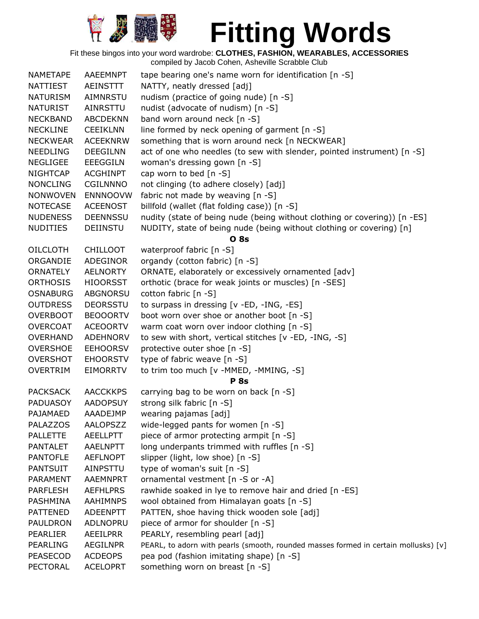

Fit these bingos into your word wardrobe: **CLOTHES, FASHION, WEARABLES, ACCESSORIES**

| <b>NAMETAPE</b> | <b>AAEEMNPT</b> | tape bearing one's name worn for identification [n -S]                              |
|-----------------|-----------------|-------------------------------------------------------------------------------------|
| NATTIEST        | AEINSTTT        | NATTY, neatly dressed [adj]                                                         |
| <b>NATURISM</b> | AIMNRSTU        | nudism (practice of going nude) [n -S]                                              |
| <b>NATURIST</b> | AINRSTTU        | nudist (advocate of nudism) [n -S]                                                  |
| <b>NECKBAND</b> | <b>ABCDEKNN</b> | band worn around neck [n -S]                                                        |
| <b>NECKLINE</b> | <b>CEEIKLNN</b> | line formed by neck opening of garment [n -S]                                       |
| <b>NECKWEAR</b> | <b>ACEEKNRW</b> | something that is worn around neck [n NECKWEAR]                                     |
| <b>NEEDLING</b> | <b>DEEGILNN</b> | act of one who needles (to sew with slender, pointed instrument) [n -S]             |
| <b>NEGLIGEE</b> | EEEGGILN        | woman's dressing gown [n -S]                                                        |
| <b>NIGHTCAP</b> | <b>ACGHINPT</b> | cap worn to bed [n -S]                                                              |
| <b>NONCLING</b> | CGILNNNO        | not clinging (to adhere closely) [adj]                                              |
| <b>NONWOVEN</b> | <b>ENNNOOVW</b> | fabric not made by weaving [n -S]                                                   |
| <b>NOTECASE</b> | <b>ACEENOST</b> | billfold (wallet (flat folding case)) [n -S]                                        |
| <b>NUDENESS</b> | <b>DEENNSSU</b> | nudity (state of being nude (being without clothing or covering)) [n -ES]           |
| <b>NUDITIES</b> | DEIINSTU        | NUDITY, state of being nude (being without clothing or covering) [n]                |
|                 |                 | <b>O</b> 8s                                                                         |
| <b>OILCLOTH</b> | <b>CHILLOOT</b> | waterproof fabric [n -S]                                                            |
| ORGANDIE        | ADEGINOR        | organdy (cotton fabric) [n -S]                                                      |
| ORNATELY        | <b>AELNORTY</b> | ORNATE, elaborately or excessively ornamented [adv]                                 |
| <b>ORTHOSIS</b> | <b>HIOORSST</b> | orthotic (brace for weak joints or muscles) [n -SES]                                |
| <b>OSNABURG</b> | <b>ABGNORSU</b> | cotton fabric [n -S]                                                                |
| <b>OUTDRESS</b> | <b>DEORSSTU</b> | to surpass in dressing [v -ED, -ING, -ES]                                           |
| <b>OVERBOOT</b> | <b>BEOOORTV</b> | boot worn over shoe or another boot [n -S]                                          |
| <b>OVERCOAT</b> | <b>ACEOORTV</b> | warm coat worn over indoor clothing [n -S]                                          |
| <b>OVERHAND</b> | ADEHNORV        | to sew with short, vertical stitches [v -ED, -ING, -S]                              |
| <b>OVERSHOE</b> | <b>EEHOORSV</b> | protective outer shoe [n -S]                                                        |
| <b>OVERSHOT</b> | <b>EHOORSTV</b> | type of fabric weave [n -S]                                                         |
| <b>OVERTRIM</b> | <b>EIMORRTV</b> | to trim too much [v -MMED, -MMING, -S]                                              |
|                 |                 | <b>P</b> 8s                                                                         |
| <b>PACKSACK</b> | <b>AACCKKPS</b> | carrying bag to be worn on back [n -S]                                              |
| <b>PADUASOY</b> | <b>AADOPSUY</b> | strong silk fabric [n -S]                                                           |
| PAJAMAED        | AAADEJMP        | wearing pajamas [adj]                                                               |
| <b>PALAZZOS</b> | <b>AALOPSZZ</b> | wide-legged pants for women [n -S]                                                  |
| <b>PALLETTE</b> | <b>AEELLPTT</b> | piece of armor protecting armpit [n -S]                                             |
| <b>PANTALET</b> | <b>AAELNPTT</b> | long underpants trimmed with ruffles [n -S]                                         |
| <b>PANTOFLE</b> | <b>AEFLNOPT</b> | slipper (light, low shoe) [n -S]                                                    |
| <b>PANTSUIT</b> | <b>AINPSTTU</b> | type of woman's suit [n -S]                                                         |
| <b>PARAMENT</b> | <b>AAEMNPRT</b> | ornamental vestment [n -S or -A]                                                    |
| <b>PARFLESH</b> | <b>AEFHLPRS</b> | rawhide soaked in lye to remove hair and dried [n -ES]                              |
| PASHMINA        | AAHIMNPS        | wool obtained from Himalayan goats [n -S]                                           |
| <b>PATTENED</b> | <b>ADEENPTT</b> | PATTEN, shoe having thick wooden sole [adj]                                         |
| PAULDRON        | ADLNOPRU        | piece of armor for shoulder [n -S]                                                  |
| PEARLIER        | AEEILPRR        | PEARLY, resembling pearl [adj]                                                      |
| PEARLING        | <b>AEGILNPR</b> | PEARL, to adorn with pearls (smooth, rounded masses formed in certain mollusks) [v] |
| PEASECOD        | <b>ACDEOPS</b>  | pea pod (fashion imitating shape) [n -S]                                            |
| <b>PECTORAL</b> | <b>ACELOPRT</b> | something worn on breast [n -S]                                                     |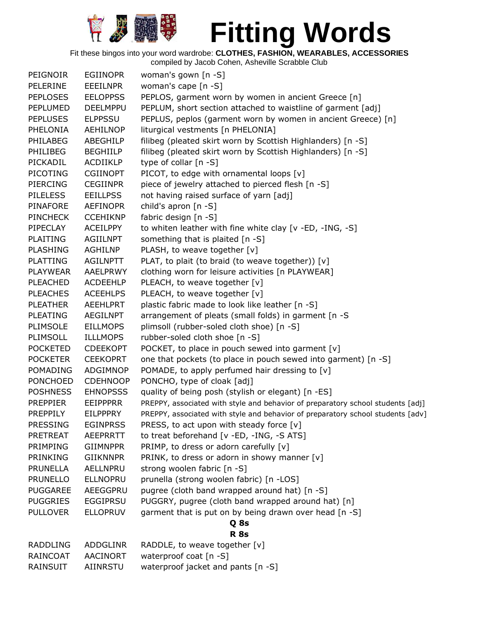

| PEIGNOIR        | <b>EGIINOPR</b> | woman's gown [n -S]                                                             |
|-----------------|-----------------|---------------------------------------------------------------------------------|
| PELERINE        | EEEILNPR        | woman's cape [n -S]                                                             |
| <b>PEPLOSES</b> | <b>EELOPPSS</b> | PEPLOS, garment worn by women in ancient Greece [n]                             |
| PEPLUMED        | <b>DEELMPPU</b> | PEPLUM, short section attached to waistline of garment [adj]                    |
| <b>PEPLUSES</b> | <b>ELPPSSU</b>  | PEPLUS, peplos (garment worn by women in ancient Greece) [n]                    |
| PHELONIA        | AEHILNOP        | liturgical vestments [n PHELONIA]                                               |
| PHILABEG        | ABEGHILP        | filibeg (pleated skirt worn by Scottish Highlanders) [n -S]                     |
| PHILIBEG        | <b>BEGHIILP</b> | filibeg (pleated skirt worn by Scottish Highlanders) [n -S]                     |
| PICKADIL        | ACDIIKLP        | type of collar [n -S]                                                           |
| <b>PICOTING</b> | <b>CGIINOPT</b> | PICOT, to edge with ornamental loops [v]                                        |
| PIERCING        | <b>CEGIINPR</b> | piece of jewelry attached to pierced flesh [n -S]                               |
| <b>PILELESS</b> | <b>EEILLPSS</b> | not having raised surface of yarn [adj]                                         |
| PINAFORE        | <b>AEFINOPR</b> | child's apron [n -S]                                                            |
| <b>PINCHECK</b> | <b>CCEHIKNP</b> | fabric design [n -S]                                                            |
| PIPECLAY        | <b>ACEILPPY</b> | to whiten leather with fine white clay [v -ED, -ING, -S]                        |
| <b>PLAITING</b> | <b>AGIILNPT</b> | something that is plaited [n -S]                                                |
| <b>PLASHING</b> | AGHILNP         | PLASH, to weave together [v]                                                    |
| <b>PLATTING</b> | AGILNPTT        | PLAT, to plait (to braid (to weave together)) [v]                               |
| <b>PLAYWEAR</b> | AAELPRWY        | clothing worn for leisure activities [n PLAYWEAR]                               |
| <b>PLEACHED</b> | <b>ACDEEHLP</b> | PLEACH, to weave together [v]                                                   |
| <b>PLEACHES</b> | <b>ACEEHLPS</b> | PLEACH, to weave together [v]                                                   |
| <b>PLEATHER</b> | AEEHLPRT        | plastic fabric made to look like leather [n -S]                                 |
| <b>PLEATING</b> | AEGILNPT        | arrangement of pleats (small folds) in garment [n -S                            |
| <b>PLIMSOLE</b> | <b>EILLMOPS</b> | plimsoll (rubber-soled cloth shoe) [n -S]                                       |
| PLIMSOLL        | <b>ILLLMOPS</b> | rubber-soled cloth shoe [n -S]                                                  |
| <b>POCKETED</b> | <b>CDEEKOPT</b> | POCKET, to place in pouch sewed into garment [v]                                |
| <b>POCKETER</b> | <b>CEEKOPRT</b> | one that pockets (to place in pouch sewed into garment) [n -S]                  |
| <b>POMADING</b> | <b>ADGIMNOP</b> | POMADE, to apply perfumed hair dressing to [v]                                  |
| <b>PONCHOED</b> | <b>CDEHNOOP</b> | PONCHO, type of cloak [adj]                                                     |
| <b>POSHNESS</b> | <b>EHNOPSSS</b> | quality of being posh (stylish or elegant) [n -ES]                              |
| <b>PREPPIER</b> | <b>EEIPPPRR</b> | PREPPY, associated with style and behavior of preparatory school students [adj] |
| PREPPILY        | <b>EILPPPRY</b> | PREPPY, associated with style and behavior of preparatory school students [adv] |
| <b>PRESSING</b> | <b>EGINPRSS</b> | PRESS, to act upon with steady force [v]                                        |
| <b>PRETREAT</b> | AEEPRRTT        | to treat beforehand [v -ED, -ING, -S ATS]                                       |
| PRIMPING        | <b>GIIMNPPR</b> | PRIMP, to dress or adorn carefully [v]                                          |
| PRINKING        | <b>GIIKNNPR</b> | PRINK, to dress or adorn in showy manner [v]                                    |
| PRUNELLA        | AELLNPRU        | strong woolen fabric [n -S]                                                     |
| <b>PRUNELLO</b> | <b>ELLNOPRU</b> | prunella (strong woolen fabric) [n -LOS]                                        |
| <b>PUGGAREE</b> | AEEGGPRU        | pugree (cloth band wrapped around hat) [n -S]                                   |
| <b>PUGGRIES</b> | <b>EGGIPRSU</b> | PUGGRY, pugree (cloth band wrapped around hat) [n]                              |
| <b>PULLOVER</b> | <b>ELLOPRUV</b> | garment that is put on by being drawn over head [n -S]                          |
|                 |                 | Q 8s                                                                            |
|                 |                 | <b>R</b> 8s                                                                     |
| <b>RADDLING</b> | ADDGLINR        | RADDLE, to weave together [v]                                                   |
| <b>RAINCOAT</b> | <b>AACINORT</b> | waterproof coat [n -S]                                                          |
| RAINSUIT        | AIINRSTU        | waterproof jacket and pants [n -S]                                              |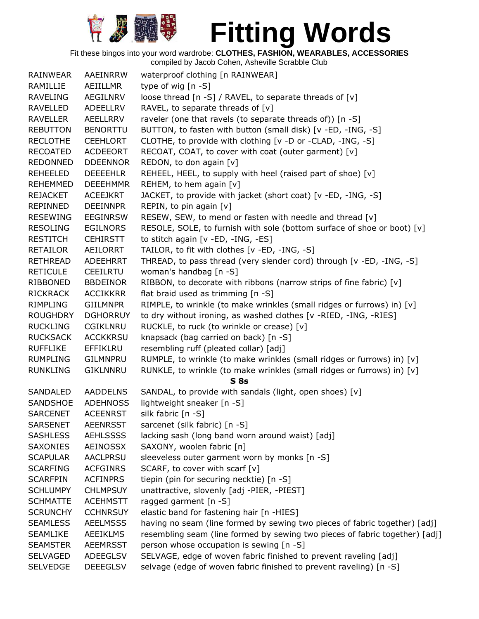

| RAINWEAR        | AAEINRRW        | waterproof clothing [n RAINWEAR]                                                          |
|-----------------|-----------------|-------------------------------------------------------------------------------------------|
| RAMILLIE        | AEIILLMR        | type of wig $[n - S]$                                                                     |
| <b>RAVELING</b> | AEGILNRV        | loose thread [n -S] / RAVEL, to separate threads of [v]                                   |
| <b>RAVELLED</b> | ADEELLRV        | RAVEL, to separate threads of [v]                                                         |
| <b>RAVELLER</b> | AEELLRRV        | raveler (one that ravels (to separate threads of)) [n -S]                                 |
| <b>REBUTTON</b> | <b>BENORTTU</b> | BUTTON, to fasten with button (small disk) [v -ED, -ING, -S]                              |
| <b>RECLOTHE</b> | <b>CEEHLORT</b> | CLOTHE, to provide with clothing [v -D or -CLAD, -ING, -S]                                |
| <b>RECOATED</b> | <b>ACDEEORT</b> | RECOAT, COAT, to cover with coat (outer garment) [v]                                      |
| <b>REDONNED</b> | <b>DDEENNOR</b> | REDON, to don again [v]                                                                   |
| <b>REHEELED</b> | <b>DEEEEHLR</b> | REHEEL, HEEL, to supply with heel (raised part of shoe) [v]                               |
| <b>REHEMMED</b> | <b>DEEEHMMR</b> | REHEM, to hem again [v]                                                                   |
| <b>REJACKET</b> | ACEEJKRT        | JACKET, to provide with jacket (short coat) [v -ED, -ING, -S]                             |
| REPINNED        | <b>DEEINNPR</b> | REPIN, to pin again [v]                                                                   |
| <b>RESEWING</b> | <b>EEGINRSW</b> | RESEW, SEW, to mend or fasten with needle and thread [v]                                  |
| <b>RESOLING</b> | <b>EGILNORS</b> | RESOLE, SOLE, to furnish with sole (bottom surface of shoe or boot) [v]                   |
| <b>RESTITCH</b> | <b>CEHIRSTT</b> | to stitch again [v -ED, -ING, -ES]                                                        |
| <b>RETAILOR</b> | <b>AEILORRT</b> | TAILOR, to fit with clothes [v -ED, -ING, -S]                                             |
| <b>RETHREAD</b> | ADEEHRRT        | THREAD, to pass thread (very slender cord) through [v -ED, -ING, -S]                      |
| <b>RETICULE</b> | <b>CEEILRTU</b> | woman's handbag [n -S]                                                                    |
| RIBBONED        | <b>BBDEINOR</b> | RIBBON, to decorate with ribbons (narrow strips of fine fabric) [v]                       |
| <b>RICKRACK</b> | <b>ACCIKKRR</b> | flat braid used as trimming [n -S]                                                        |
| RIMPLING        | <b>GIILMNPR</b> | RIMPLE, to wrinkle (to make wrinkles (small ridges or furrows) in) [v]                    |
| <b>ROUGHDRY</b> | <b>DGHORRUY</b> | to dry without ironing, as washed clothes [v -RIED, -ING, -RIES]                          |
| <b>RUCKLING</b> | <b>CGIKLNRU</b> | RUCKLE, to ruck (to wrinkle or crease) [v]                                                |
| <b>RUCKSACK</b> | <b>ACCKKRSU</b> | knapsack (bag carried on back) [n -S]                                                     |
| <b>RUFFLIKE</b> | EFFIKLRU        | resembling ruff (pleated collar) [adj]                                                    |
| <b>RUMPLING</b> | GILMNPRU        | RUMPLE, to wrinkle (to make wrinkles (small ridges or furrows) in) [v]                    |
| <b>RUNKLING</b> | GIKLNNRU        | RUNKLE, to wrinkle (to make wrinkles (small ridges or furrows) in) [v]<br>S <sub>8s</sub> |
| SANDALED        | <b>AADDELNS</b> | SANDAL, to provide with sandals (light, open shoes) [v]                                   |
| SANDSHOE        | <b>ADEHNOSS</b> | lightweight sneaker [n -S]                                                                |
| <b>SARCENET</b> | <b>ACEENRST</b> | silk fabric [n -S]                                                                        |
| <b>SARSENET</b> | <b>AEENRSST</b> | sarcenet (silk fabric) [n -S]                                                             |
| <b>SASHLESS</b> | <b>AEHLSSSS</b> | lacking sash (long band worn around waist) [adj]                                          |
| SAXONIES        | AEINOSSX        | SAXONY, woolen fabric [n]                                                                 |
| <b>SCAPULAR</b> | AACLPRSU        | sleeveless outer garment worn by monks [n -S]                                             |
| <b>SCARFING</b> | <b>ACFGINRS</b> | SCARF, to cover with scarf [v]                                                            |
| <b>SCARFPIN</b> | <b>ACFINPRS</b> | tiepin (pin for securing necktie) [n -S]                                                  |
| <b>SCHLUMPY</b> | <b>CHLMPSUY</b> | unattractive, slovenly [adj -PIER, -PIEST]                                                |
| <b>SCHMATTE</b> | <b>ACEHMSTT</b> | ragged garment [n -S]                                                                     |
| <b>SCRUNCHY</b> | <b>CCHNRSUY</b> | elastic band for fastening hair [n -HIES]                                                 |
| <b>SEAMLESS</b> | <b>AEELMSSS</b> | having no seam (line formed by sewing two pieces of fabric together) [adj]                |
| <b>SEAMLIKE</b> | <b>AEEIKLMS</b> | resembling seam (line formed by sewing two pieces of fabric together) [adj]               |
| <b>SEAMSTER</b> | <b>AEEMRSST</b> | person whose occupation is sewing [n -S]                                                  |
| <b>SELVAGED</b> | <b>ADEEGLSV</b> | SELVAGE, edge of woven fabric finished to prevent raveling [adj]                          |
| <b>SELVEDGE</b> | <b>DEEEGLSV</b> | selvage (edge of woven fabric finished to prevent raveling) [n -S]                        |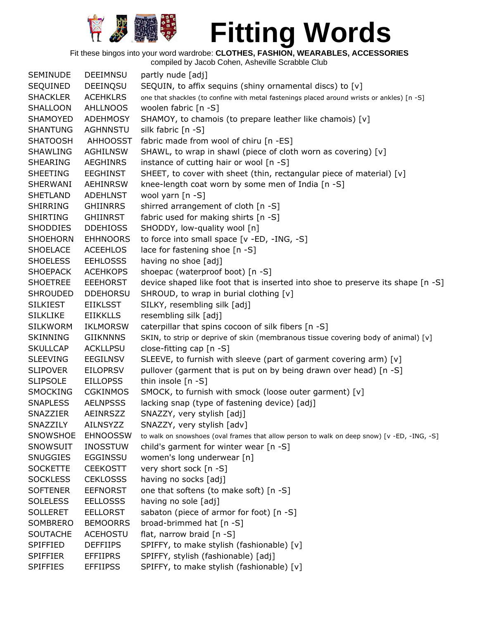

Fit these bingos into your word wardrobe: **CLOTHES, FASHION, WEARABLES, ACCESSORIES**

compiled by Jacob Cohen, Asheville Scrabble Club SEMINUDE DEEIMNSU partly nude [adj] SEQUINED DEEINQSU SEQUIN, to affix sequins (shiny ornamental discs) to [v] SHACKLER ACEHKLRS one that shackles (to confine with metal fastenings placed around wrists or ankles) [n -S] SHALLOON AHLLNOOS woolen fabric [n -S] SHAMOYED ADEHMOSY SHAMOY, to chamois (to prepare leather like chamois) [v] SHANTUNG AGHNNSTU silk fabric [n -S] SHATOOSH AHHOOSST fabric made from wool of chiru [n -ES] SHAWLING AGHILNSW SHAWL, to wrap in shawl (piece of cloth worn as covering) [v] SHEARING AEGHINRS instance of cutting hair or wool [n -S] SHEETING EEGHINST SHEET, to cover with sheet (thin, rectangular piece of material) [v] SHERWANI AEHINRSW knee-length coat worn by some men of India [n -S] SHETLAND ADEHLNST wool yarn [n -S] SHIRRING GHIINRRS shirred arrangement of cloth [n -S] SHIRTING GHIINRST fabric used for making shirts [n -S] SHODDIES DDEHIOSS SHODDY, low-quality wool [n] SHOEHORN EHHNOORS to force into small space [v -ED, -ING, -S] SHOELACE ACEEHLOS lace for fastening shoe [n -S] SHOELESS EEHLOSSS having no shoe [adj] SHOEPACK ACEHKOPS shoepac (waterproof boot) [n -S] SHOETREE EEEHORST device shaped like foot that is inserted into shoe to preserve its shape [n -S] SHROUDED DDEHORSU SHROUD, to wrap in burial clothing [v] SILKIEST EIIKLSST SILKY, resembling silk [adj] SILKLIKE EIIKKLLS resembling silk [adj] SILKWORM IKLMORSW caterpillar that spins cocoon of silk fibers [n -S] SKINNING GIIKNNNS SKIN, to strip or deprive of skin (membranous tissue covering body of animal) [v] SKULLCAP ACKLLPSU close-fitting cap [n -S] SLEEVING EEGILNSV SLEEVE, to furnish with sleeve (part of garment covering arm) [v] SLIPOVER EILOPRSV pullover (garment that is put on by being drawn over head) [n -S] SLIPSOLE EILLOPSS thin insole [n -S] SMOCKING CGKINMOS SMOCK, to furnish with smock (loose outer garment) [v] SNAPLESS AELNPSSS lacking snap (type of fastening device) [adj] SNAZZIER AEINRSZZ SNAZZY, very stylish [adj] SNAZZILY AILNSYZZ SNAZZY, very stylish [adv] SNOWSHOE EHNOOSSW to walk on snowshoes (oval frames that allow person to walk on deep snow) [v -ED, -ING, -S] SNOWSUIT INOSSTUW child's garment for winter wear [n -S] SNUGGIES EGGINSSU women's long underwear [n] SOCKETTE CEEKOSTT very short sock [n -S] SOCKLESS CEKLOSSS having no socks [adj] SOFTENER EEFNORST one that softens (to make soft) [n -S] SOLELESS EELLOSSS having no sole [adj] SOLLERET EELLORST sabaton (piece of armor for foot) [n -S] SOMBRERO BEMOORRS broad-brimmed hat [n -S] SOUTACHE ACEHOSTU flat, narrow braid [n -S] SPIFFIED DEFFIIPS SPIFFY, to make stylish (fashionable) [v] SPIFFIER EFFIIPRS SPIFFY, stylish (fashionable) [adj] SPIFFIES EFFIIPSS SPIFFY, to make stylish (fashionable) [v]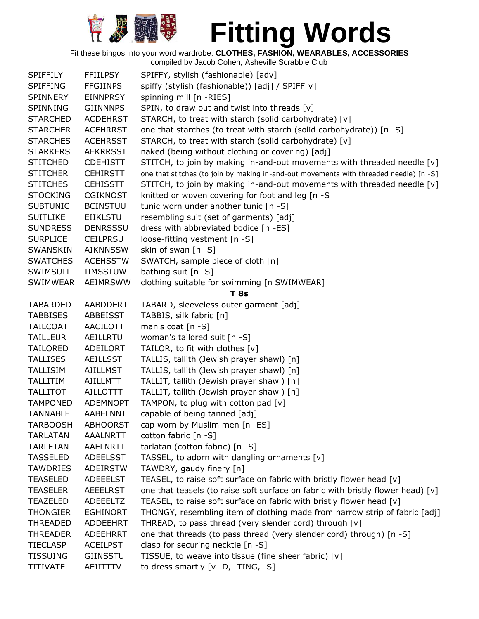

| <b>SPIFFILY</b> | <b>FFIILPSY</b> | SPIFFY, stylish (fashionable) [adv]                                                    |
|-----------------|-----------------|----------------------------------------------------------------------------------------|
| <b>SPIFFING</b> | <b>FFGIINPS</b> | spiffy (stylish (fashionable)) [adj] / SPIFF[v]                                        |
| SPINNERY        | <b>EINNPRSY</b> | spinning mill [n -RIES]                                                                |
| SPINNING        | <b>GIINNNPS</b> | SPIN, to draw out and twist into threads [v]                                           |
| <b>STARCHED</b> | <b>ACDEHRST</b> |                                                                                        |
|                 |                 | STARCH, to treat with starch (solid carbohydrate) [v]                                  |
| <b>STARCHER</b> | <b>ACEHRRST</b> | one that starches (to treat with starch (solid carbohydrate)) [n -S]                   |
| <b>STARCHES</b> | <b>ACEHRSST</b> | STARCH, to treat with starch (solid carbohydrate) [v]                                  |
| <b>STARKERS</b> | <b>AEKRRSST</b> | naked (being without clothing or covering) [adj]                                       |
| <b>STITCHED</b> | <b>CDEHISTT</b> | STITCH, to join by making in-and-out movements with threaded needle [v]                |
| <b>STITCHER</b> | <b>CEHIRSTT</b> | one that stitches (to join by making in-and-out movements with threaded needle) [n -S] |
| <b>STITCHES</b> | <b>CEHISSTT</b> | STITCH, to join by making in-and-out movements with threaded needle [v]                |
| <b>STOCKING</b> | <b>CGIKNOST</b> | knitted or woven covering for foot and leg [n -S]                                      |
| <b>SUBTUNIC</b> | <b>BCINSTUU</b> | tunic worn under another tunic [n -S]                                                  |
| <b>SUITLIKE</b> | <b>EIIKLSTU</b> | resembling suit (set of garments) [adj]                                                |
| <b>SUNDRESS</b> | <b>DENRSSSU</b> | dress with abbreviated bodice [n -ES]                                                  |
|                 |                 |                                                                                        |
| <b>SURPLICE</b> | <b>CEILPRSU</b> | loose-fitting vestment [n -S]                                                          |
| <b>SWANSKIN</b> | <b>AIKNNSSW</b> | skin of swan [n -S]                                                                    |
| <b>SWATCHES</b> | <b>ACEHSSTW</b> | SWATCH, sample piece of cloth [n]                                                      |
| SWIMSUIT        | <b>IIMSSTUW</b> | bathing suit [n -S]                                                                    |
| <b>SWIMWEAR</b> | <b>AEIMRSWW</b> | clothing suitable for swimming [n SWIMWEAR]                                            |
|                 |                 | T <sub>8s</sub>                                                                        |
| <b>TABARDED</b> | AABDDERT        | TABARD, sleeveless outer garment [adj]                                                 |
| <b>TABBISES</b> | ABBEISST        | TABBIS, silk fabric [n]                                                                |
| <b>TAILCOAT</b> | <b>AACILOTT</b> | man's coat $[n -S]$                                                                    |
| <b>TAILLEUR</b> | AEILLRTU        | woman's tailored suit [n -S]                                                           |
| <b>TAILORED</b> | <b>ADEILORT</b> | TAILOR, to fit with clothes [v]                                                        |
| <b>TALLISES</b> | <b>AEILLSST</b> | TALLIS, tallith (Jewish prayer shawl) [n]                                              |
|                 |                 |                                                                                        |
| <b>TALLISIM</b> | <b>AIILLMST</b> | TALLIS, tallith (Jewish prayer shawl) [n]                                              |
| <b>TALLITIM</b> | <b>AIILLMTT</b> | TALLIT, tallith (Jewish prayer shawl) [n]                                              |
| <b>TALLITOT</b> | <b>AILLOTTT</b> | TALLIT, tallith (Jewish prayer shawl) [n]                                              |
| <b>TAMPONED</b> | <b>ADEMNOPT</b> | TAMPON, to plug with cotton pad [v]                                                    |
| <b>TANNABLE</b> | AABELNNT        | capable of being tanned [adj]                                                          |
| <b>TARBOOSH</b> | <b>ABHOORST</b> | cap worn by Muslim men [n -ES]                                                         |
| <b>TARLATAN</b> | AAALNRTT        | cotton fabric [n -S]                                                                   |
| <b>TARLETAN</b> | <b>AAELNRTT</b> | tarlatan (cotton fabric) [n -S]                                                        |
| <b>TASSELED</b> | <b>ADEELSST</b> | TASSEL, to adorn with dangling ornaments [v]                                           |
| <b>TAWDRIES</b> | ADEIRSTW        | TAWDRY, gaudy finery [n]                                                               |
| <b>TEASELED</b> | <b>ADEEELST</b> | TEASEL, to raise soft surface on fabric with bristly flower head [v]                   |
| <b>TEASELER</b> | <b>AEEELRST</b> | one that teasels (to raise soft surface on fabric with bristly flower head) [v]        |
|                 |                 |                                                                                        |
| TEAZELED        | ADEEELTZ        | TEASEL, to raise soft surface on fabric with bristly flower head [v]                   |
| <b>THONGIER</b> | <b>EGHINORT</b> | THONGY, resembling item of clothing made from narrow strip of fabric [adj]             |
| <b>THREADED</b> | ADDEEHRT        | THREAD, to pass thread (very slender cord) through [v]                                 |
| <b>THREADER</b> | ADEEHRRT        | one that threads (to pass thread (very slender cord) through) [n -S]                   |
| <b>TIECLASP</b> | <b>ACEILPST</b> | clasp for securing necktie [n -S]                                                      |
| <b>TISSUING</b> | GIINSSTU        | TISSUE, to weave into tissue (fine sheer fabric) [v]                                   |
| <b>TITIVATE</b> | AEIITTTV        | to dress smartly [v -D, -TING, -S]                                                     |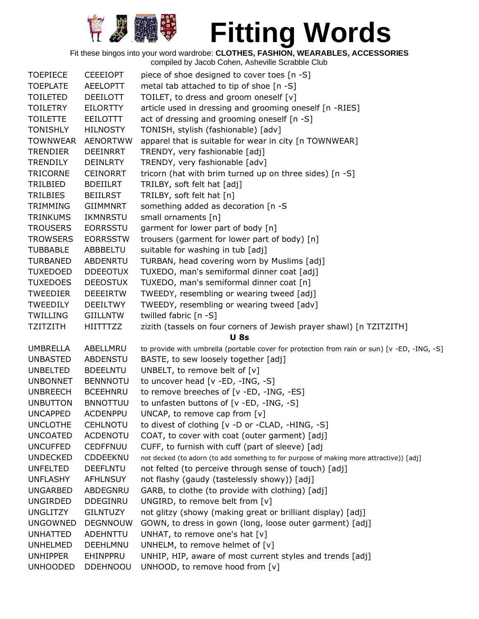

| <b>TOEPIECE</b> | <b>CEEEIOPT</b> | piece of shoe designed to cover toes [n -S]                                                 |
|-----------------|-----------------|---------------------------------------------------------------------------------------------|
| <b>TOEPLATE</b> | <b>AEELOPTT</b> | metal tab attached to tip of shoe [n -S]                                                    |
| <b>TOILETED</b> | <b>DEEILOTT</b> | TOILET, to dress and groom oneself [v]                                                      |
| <b>TOILETRY</b> | <b>EILORTTY</b> | article used in dressing and grooming oneself [n -RIES]                                     |
| <b>TOILETTE</b> | EEILOTTT        | act of dressing and grooming oneself [n -S]                                                 |
| <b>TONISHLY</b> | <b>HILNOSTY</b> | TONISH, stylish (fashionable) [adv]                                                         |
| <b>TOWNWEAR</b> | <b>AENORTWW</b> | apparel that is suitable for wear in city [n TOWNWEAR]                                      |
| <b>TRENDIER</b> | <b>DEEINRRT</b> | TRENDY, very fashionable [adj]                                                              |
| <b>TRENDILY</b> | <b>DEINLRTY</b> | TRENDY, very fashionable [adv]                                                              |
| <b>TRICORNE</b> | <b>CEINORRT</b> | tricorn (hat with brim turned up on three sides) [n -S]                                     |
| TRILBIED        | <b>BDEIILRT</b> | TRILBY, soft felt hat [adj]                                                                 |
| TRILBIES        | <b>BEIILRST</b> | TRILBY, soft felt hat [n]                                                                   |
| <b>TRIMMING</b> | <b>GIIMMNRT</b> | something added as decoration [n -S                                                         |
| <b>TRINKUMS</b> | <b>IKMNRSTU</b> | small ornaments [n]                                                                         |
| <b>TROUSERS</b> | <b>EORRSSTU</b> | garment for lower part of body [n]                                                          |
| <b>TROWSERS</b> | <b>EORRSSTW</b> | trousers (garment for lower part of body) [n]                                               |
| <b>TUBBABLE</b> | ABBBELTU        | suitable for washing in tub [adj]                                                           |
| <b>TURBANED</b> | <b>ABDENRTU</b> | TURBAN, head covering worn by Muslims [adj]                                                 |
| <b>TUXEDOED</b> | <b>DDEEOTUX</b> | TUXEDO, man's semiformal dinner coat [adj]                                                  |
| <b>TUXEDOES</b> | <b>DEEOSTUX</b> | TUXEDO, man's semiformal dinner coat [n]                                                    |
| <b>TWEEDIER</b> | <b>DEEEIRTW</b> | TWEEDY, resembling or wearing tweed [adj]                                                   |
| <b>TWEEDILY</b> | <b>DEEILTWY</b> | TWEEDY, resembling or wearing tweed [adv]                                                   |
| <b>TWILLING</b> | <b>GIILLNTW</b> | twilled fabric [n -S]                                                                       |
| <b>TZITZITH</b> | HIITTTZZ        | zizith (tassels on four corners of Jewish prayer shawl) [n TZITZITH]                        |
|                 |                 | <b>U</b> 8s                                                                                 |
| <b>UMBRELLA</b> | ABELLMRU        | to provide with umbrella (portable cover for protection from rain or sun) [v -ED, -ING, -S] |
| <b>UNBASTED</b> | <b>ABDENSTU</b> | BASTE, to sew loosely together [adj]                                                        |
| <b>UNBELTED</b> | <b>BDEELNTU</b> | UNBELT, to remove belt of $[v]$                                                             |
| <b>UNBONNET</b> | <b>BENNNOTU</b> | to uncover head [v -ED, -ING, -S]                                                           |
| <b>UNBREECH</b> | <b>BCEEHNRU</b> | to remove breeches of [v -ED, -ING, -ES]                                                    |
| <b>UNBUTTON</b> | <b>BNNOTTUU</b> | to unfasten buttons of [v -ED, -ING, -S]                                                    |
| <b>UNCAPPED</b> | <b>ACDENPPU</b> | UNCAP, to remove cap from $[v]$                                                             |
| <b>UNCLOTHE</b> | <b>CEHLNOTU</b> | to divest of clothing [v -D or -CLAD, -HING, -S]                                            |
| <b>UNCOATED</b> | <b>ACDENOTU</b> | COAT, to cover with coat (outer garment) [adj]                                              |
| <b>UNCUFFED</b> | <b>CEDFFNUU</b> | CUFF, to furnish with cuff (part of sleeve) [adj                                            |
| <b>UNDECKED</b> | <b>CDDEEKNU</b> | not decked (to adorn (to add something to for purpose of making more attractive)) [adj]     |
| <b>UNFELTED</b> | <b>DEEFLNTU</b> | not felted (to perceive through sense of touch) [adj]                                       |
| <b>UNFLASHY</b> | <b>AFHLNSUY</b> | not flashy (gaudy (tastelessly showy)) [adj]                                                |
| <b>UNGARBED</b> | ABDEGNRU        | GARB, to clothe (to provide with clothing) [adj]                                            |
| <b>UNGIRDED</b> | <b>DDEGINRU</b> | UNGIRD, to remove belt from [v]                                                             |
| <b>UNGLITZY</b> | <b>GILNTUZY</b> | not glitzy (showy (making great or brilliant display) [adj]                                 |
| <b>UNGOWNED</b> | <b>DEGNNOUW</b> | GOWN, to dress in gown (long, loose outer garment) [adj]                                    |
| <b>UNHATTED</b> | ADEHNTTU        | UNHAT, to remove one's hat [v]                                                              |
| <b>UNHELMED</b> | DEEHLMNU        | UNHELM, to remove helmet of $[v]$                                                           |
| <b>UNHIPPER</b> | EHINPPRU        | UNHIP, HIP, aware of most current styles and trends [adj]                                   |
| <b>UNHOODED</b> | <b>DDEHNOOU</b> | UNHOOD, to remove hood from [v]                                                             |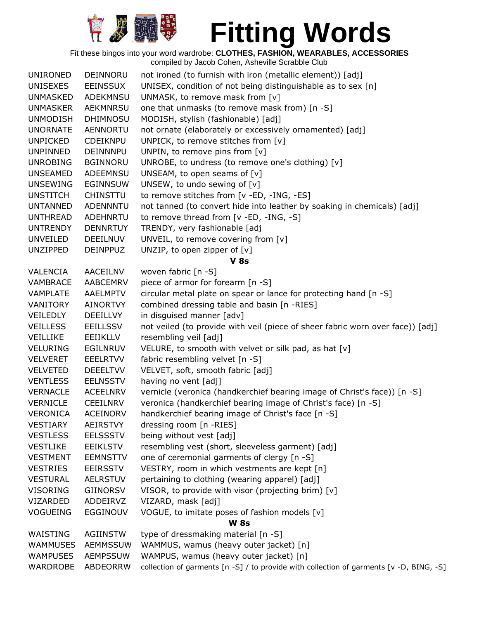

| <b>UNIRONED</b> | DEINNORU        | not ironed (to furnish with iron (metallic element)) [adj]                              |
|-----------------|-----------------|-----------------------------------------------------------------------------------------|
| <b>UNISEXES</b> | EEINSSUX        | UNISEX, condition of not being distinguishable as to sex [n]                            |
| <b>UNMASKED</b> | ADEKMNSU        | UNMASK, to remove mask from [v]                                                         |
| <b>UNMASKER</b> | <b>AEKMNRSU</b> | one that unmasks (to remove mask from) [n -S]                                           |
| <b>UNMODISH</b> | <b>DHIMNOSU</b> | MODISH, stylish (fashionable) [adj]                                                     |
| <b>UNORNATE</b> | <b>AENNORTU</b> | not ornate (elaborately or excessively ornamented) [adj]                                |
| <b>UNPICKED</b> | CDEIKNPU        | UNPICK, to remove stitches from [v]                                                     |
| <b>UNPINNED</b> | <b>DEINNNPU</b> | UNPIN, to remove pins from [v]                                                          |
| <b>UNROBING</b> | <b>BGINNORU</b> | UNROBE, to undress (to remove one's clothing) [v]                                       |
| <b>UNSEAMED</b> | <b>ADEEMNSU</b> | UNSEAM, to open seams of $[v]$                                                          |
| <b>UNSEWING</b> | EGINNSUW        | UNSEW, to undo sewing of [v]                                                            |
| <b>UNSTITCH</b> | <b>CHINSTTU</b> | to remove stitches from [v -ED, -ING, -ES]                                              |
| <b>UNTANNED</b> | <b>ADENNNTU</b> | not tanned (to convert hide into leather by soaking in chemicals) [adj]                 |
| <b>UNTHREAD</b> | ADEHNRTU        | to remove thread from [v -ED, -ING, -S]                                                 |
| <b>UNTRENDY</b> | <b>DENNRTUY</b> | TRENDY, very fashionable [adj                                                           |
| <b>UNVEILED</b> | <b>DEEILNUV</b> | UNVEIL, to remove covering from [v]                                                     |
| <b>UNZIPPED</b> | <b>DEINPPUZ</b> | UNZIP, to open zipper of $[v]$                                                          |
|                 |                 | <b>V 8s</b>                                                                             |
| <b>VALENCIA</b> | AACEILNV        | woven fabric [n -S]                                                                     |
| VAMBRACE        | <b>AABCEMRV</b> | piece of armor for forearm [n -S]                                                       |
| <b>VAMPLATE</b> | <b>AAELMPTV</b> | circular metal plate on spear or lance for protecting hand [n -S]                       |
| VANITORY        | <b>AINORTVY</b> | combined dressing table and basin [n -RIES]                                             |
| VEILEDLY        | <b>DEEILLVY</b> | in disguised manner [adv]                                                               |
| <b>VEILLESS</b> | <b>EEILLSSV</b> | not veiled (to provide with veil (piece of sheer fabric worn over face)) [adj]          |
| <b>VEILLIKE</b> | EEIIKLLV        | resembling veil [adj]                                                                   |
| <b>VELURING</b> | <b>EGILNRUV</b> | VELURE, to smooth with velvet or silk pad, as hat [v]                                   |
| <b>VELVERET</b> | <b>EEELRTVV</b> | fabric resembling velvet [n -S]                                                         |
| <b>VELVETED</b> | <b>DEEELTVV</b> | VELVET, soft, smooth fabric [adj]                                                       |
| <b>VENTLESS</b> | <b>EELNSSTV</b> | having no vent [adj]                                                                    |
| <b>VERNACLE</b> | <b>ACEELNRV</b> | vernicle (veronica (handkerchief bearing image of Christ's face)) [n -S]                |
| <b>VERNICLE</b> | <b>CEEILNRV</b> | veronica (handkerchief bearing image of Christ's face) [n -S]                           |
| VERONICA        | <b>ACEINORV</b> | handkerchief bearing image of Christ's face [n -S]                                      |
| <b>VESTIARY</b> | <b>AEIRSTVY</b> | dressing room [n -RIES]                                                                 |
| <b>VESTLESS</b> | <b>EELSSSTV</b> | being without vest [adj]                                                                |
| <b>VESTLIKE</b> | <b>EEIKLSTV</b> | resembling vest (short, sleeveless garment) [adj]                                       |
| <b>VESTMENT</b> | <b>EEMNSTTV</b> | one of ceremonial garments of clergy [n -S]                                             |
| <b>VESTRIES</b> | <b>EEIRSSTV</b> | VESTRY, room in which vestments are kept [n]                                            |
| <b>VESTURAL</b> | <b>AELRSTUV</b> | pertaining to clothing (wearing apparel) [adj]                                          |
| <b>VISORING</b> | <b>GIINORSV</b> | VISOR, to provide with visor (projecting brim) [v]                                      |
| VIZARDED        | ADDEIRVZ        | VIZARD, mask [adj]                                                                      |
| <b>VOGUEING</b> | <b>EGGINOUV</b> | VOGUE, to imitate poses of fashion models [v]                                           |
|                 |                 | <b>W 8s</b>                                                                             |
| WAISTING        | <b>AGIINSTW</b> | type of dressmaking material [n -S]                                                     |
| <b>WAMMUSES</b> | <b>AEMMSSUW</b> | WAMMUS, wamus (heavy outer jacket) [n]                                                  |
| <b>WAMPUSES</b> | <b>AEMPSSUW</b> | WAMPUS, wamus (heavy outer jacket) [n]                                                  |
| WARDROBE        | ABDEORRW        | collection of garments [n -S] / to provide with collection of garments [v -D, BING, -S] |